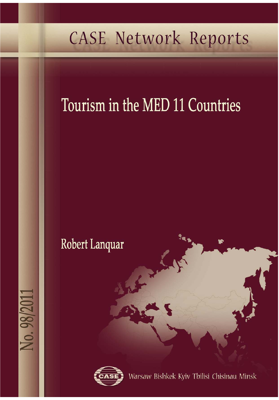# **CASE Network Reports**

# Tourism in the MED 11 Countries

# Robert Lanquar

No. 98/2011



Warsaw Bishkek Kyiv Tbilisi Chisinau Minsk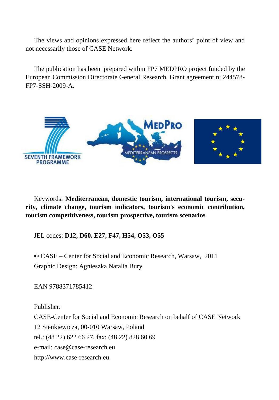The views and opinions expressed here reflect the authors' point of view and not necessarily those of CASE Network.

The publication has been prepared within FP7 MEDPRO project funded by the European Commission Directorate General Research, Grant agreement n: 244578- FP7-SSH-2009-A.



Keywords: **Mediterranean, domestic tourism, international tourism, security, climate change, tourism indicators, tourism's economic contribution, tourism competitiveness, tourism prospective, tourism scenarios**

JEL codes: **D12, D60, E27, F47, H54, O53, O55**

© CASE – Center for Social and Economic Research, Warsaw, 2011 Graphic Design: Agnieszka Natalia Bury

EAN 9788371785412

Publisher: CASE-Center for Social and Economic Research on behalf of CASE Network 12 Sienkiewicza, 00-010 Warsaw, Poland tel.: (48 22) 622 66 27, fax: (48 22) 828 60 69 e-mail: case@case-research.eu http://www.case-research.eu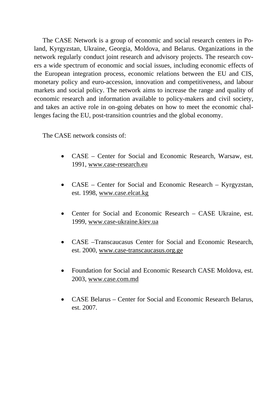The CASE Network is a group of economic and social research centers in Poland, Kyrgyzstan, Ukraine, Georgia, Moldova, and Belarus. Organizations in the network regularly conduct joint research and advisory projects. The research covers a wide spectrum of economic and social issues, including economic effects of the European integration process, economic relations between the EU and CIS, monetary policy and euro-accession, innovation and competitiveness, and labour markets and social policy. The network aims to increase the range and quality of economic research and information available to policy-makers and civil society, and takes an active role in on-going debates on how to meet the economic challenges facing the EU, post-transition countries and the global economy.

The CASE network consists of:

- CASE Center for Social and Economic Research, Warsaw, est. 1991, www.case-research.eu
- CASE Center for Social and Economic Research Kyrgyzstan, est. 1998, www.case.elcat.kg
- Center for Social and Economic Research CASE Ukraine, est. 1999, www.case-ukraine.kiev.ua
- CASE –Transcaucasus Center for Social and Economic Research, est. 2000, www.case-transcaucasus.org.ge
- Foundation for Social and Economic Research CASE Moldova, est. 2003, www.case.com.md
- CASE Belarus Center for Social and Economic Research Belarus, est. 2007.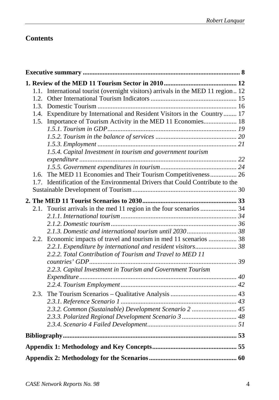# **Contents**

|      | 1.1. International tourist (overnight visitors) arrivals in the MED 11 region 12 |  |
|------|----------------------------------------------------------------------------------|--|
| 1.2. |                                                                                  |  |
|      |                                                                                  |  |
|      | 1.4. Expenditure by International and Resident Visitors in the Country 17        |  |
| 1.5. | Importance of Tourism Activity in the MED 11 Economies 18                        |  |
|      |                                                                                  |  |
|      |                                                                                  |  |
|      |                                                                                  |  |
|      | 1.5.4. Capital Investment in tourism and government tourism                      |  |
|      |                                                                                  |  |
|      |                                                                                  |  |
|      | 1.6. The MED 11 Economies and Their Tourism Competitiveness 26                   |  |
|      | 1.7. Identification of the Environmental Drivers that Could Contribute to the    |  |
|      |                                                                                  |  |
|      |                                                                                  |  |
|      |                                                                                  |  |
|      |                                                                                  |  |
|      |                                                                                  |  |
|      |                                                                                  |  |
|      | 2.2. Economic impacts of travel and tourism in med 11 scenarios  38              |  |
|      |                                                                                  |  |
|      | 2.2.2. Total Contribution of Tourism and Travel to MED 11                        |  |
|      |                                                                                  |  |
|      | 2.2.3. Capital Investment in Tourism and Government Tourism                      |  |
|      |                                                                                  |  |
|      |                                                                                  |  |
| 2.3. |                                                                                  |  |
|      |                                                                                  |  |
|      | 2.3.2. Common (Sustainable) Development Scenario 2  45                           |  |
|      |                                                                                  |  |
|      |                                                                                  |  |
|      |                                                                                  |  |
|      |                                                                                  |  |
|      |                                                                                  |  |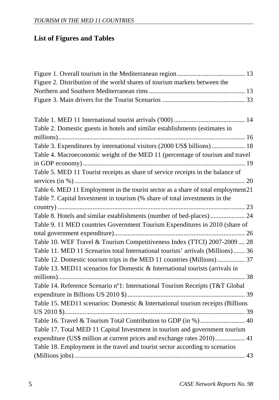# **List of Figures and Tables**

| Figure 2. Distribution of the world shares of tourism markets between the         |  |
|-----------------------------------------------------------------------------------|--|
|                                                                                   |  |
|                                                                                   |  |
|                                                                                   |  |
| Table 2. Domestic guests in hotels and similar establishments (estimates in       |  |
|                                                                                   |  |
| Table 3. Expenditures by international visitors (2000 US\$ billions)  18          |  |
| Table 4. Macroeconomic weight of the MED 11 (percentage of tourism and travel     |  |
|                                                                                   |  |
| Table 5. MED 11 Tourist receipts as share of service receipts in the balance of   |  |
|                                                                                   |  |
| Table 6. MED 11 Employment in the tourist sector as a share of total employment21 |  |
| Table 7. Capital Investment in tourism (% share of total investments in the       |  |
|                                                                                   |  |
|                                                                                   |  |
| Table 9. 11 MED countries Government Tourism Expenditures in 2010 (share of       |  |
|                                                                                   |  |
| Table 10. WEF Travel & Tourism Competitiveness Index (TTCI) 2007-2009  28         |  |
| Table 11. MED 11 Scenarios total International tourists' arrivals (Millions) 36   |  |
| Table 12. Domestic tourism trips in the MED 11 countries (Millions) 37            |  |
| Table 13. MED11 scenarios for Domestic & International tourists (arrivals in      |  |
|                                                                                   |  |
| Table 14. Reference Scenario nº1: International Tourism Receipts (T&T Global      |  |
|                                                                                   |  |
| Table 15. MED11 scenarios: Domestic & International tourism receipts (Billions    |  |
|                                                                                   |  |
|                                                                                   |  |
| Table 17. Total MED 11 Capital Investment in tourism and government tourism       |  |
| expenditure (US\$ million at current prices and exchange rates 2010) 41           |  |
| Table 18. Employment in the travel and tourist sector according to scenarios      |  |
|                                                                                   |  |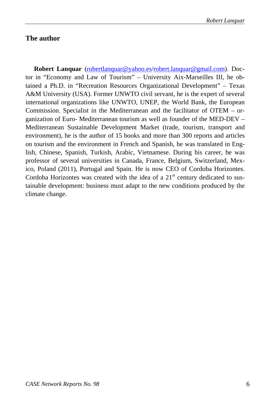# **The author**

**Robert Lanquar** (robertlanquar@yahoo.es/robert.lanquar@gmail.com). Doctor in "Economy and Law of Tourism" – University Aix-Marseilles III, he obtained a Ph.D. in "Recreation Resources Organizational Development" – Texas A&M University (USA). Former UNWTO civil servant, he is the expert of several international organizations like UNWTO, UNEP, the World Bank, the European Commission. Specialist in the Mediterranean and the facilitator of OTEM – organization of Euro- Mediterranean tourism as well as founder of the MED-DEV – Mediterranean Sustainable Development Market (trade, tourism, transport and environment), he is the author of 15 books and more than 300 reports and articles on tourism and the environment in French and Spanish, he was translated in English, Chinese, Spanish, Turkish, Arabic, Vietnamese. During his career, he was professor of several universities in Canada, France, Belgium, Switzerland, Mexico, Poland (2011), Portugal and Spain. He is now CEO of Cordoba Horizontes. Cordoba Horizontes was created with the idea of a  $21<sup>st</sup>$  century dedicated to sustainable development: business must adapt to the new conditions produced by the climate change.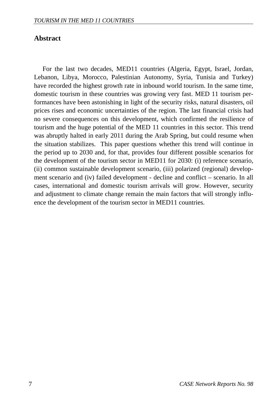# **Abstract**

For the last two decades, MED11 countries (Algeria, Egypt, Israel, Jordan, Lebanon, Libya, Morocco, Palestinian Autonomy, Syria, Tunisia and Turkey) have recorded the highest growth rate in inbound world tourism. In the same time, domestic tourism in these countries was growing very fast. MED 11 tourism performances have been astonishing in light of the security risks, natural disasters, oil prices rises and economic uncertainties of the region. The last financial crisis had no severe consequences on this development, which confirmed the resilience of tourism and the huge potential of the MED 11 countries in this sector. This trend was abruptly halted in early 2011 during the Arab Spring, but could resume when the situation stabilizes. This paper questions whether this trend will continue in the period up to 2030 and, for that, provides four different possible scenarios for the development of the tourism sector in MED11 for 2030: (i) reference scenario, (ii) common sustainable development scenario, (iii) polarized (regional) development scenario and (iv) failed development - decline and conflict – scenario. In all cases, international and domestic tourism arrivals will grow. However, security and adjustment to climate change remain the main factors that will strongly influence the development of the tourism sector in MED11 countries.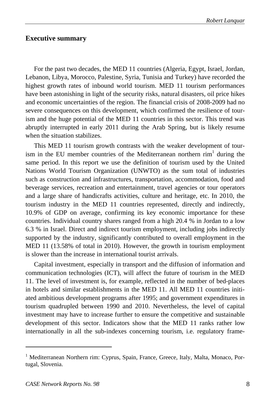## **Executive summary**

For the past two decades, the MED 11 countries (Algeria, Egypt, Israel, Jordan, Lebanon, Libya, Morocco, Palestine, Syria, Tunisia and Turkey) have recorded the highest growth rates of inbound world tourism. MED 11 tourism performances have been astonishing in light of the security risks, natural disasters, oil price hikes and economic uncertainties of the region. The financial crisis of 2008-2009 had no severe consequences on this development, which confirmed the resilience of tourism and the huge potential of the MED 11 countries in this sector. This trend was abruptly interrupted in early 2011 during the Arab Spring, but is likely resume when the situation stabilizes.

This MED 11 tourism growth contrasts with the weaker development of tourism in the EU member countries of the Mediterranean northern  $\text{rim}^1$  during the same period. In this report we use the definition of tourism used by the United Nations World Tourism Organization (UNWTO) as the sum total of industries such as construction and infrastructures, transportation, accommodation, food and beverage services, recreation and entertainment, travel agencies or tour operators and a large share of handicrafts activities, culture and heritage, etc. In 2010, the tourism industry in the MED 11 countries represented, directly and indirectly, 10.9% of GDP on average, confirming its key economic importance for these countries. Individual country shares ranged from a high 20.4 % in Jordan to a low 6.3 % in Israel. Direct and indirect tourism employment, including jobs indirectly supported by the industry, significantly contributed to overall employment in the MED 11 (13.58% of total in 2010). However, the growth in tourism employment is slower than the increase in international tourist arrivals.

Capital investment, especially in transport and the diffusion of information and communication technologies (ICT), will affect the future of tourism in the MED 11. The level of investment is, for example, reflected in the number of bed-places in hotels and similar establishments in the MED 11. All MED 11 countries initiated ambitious development programs after 1995; and government expenditures in tourism quadrupled between 1990 and 2010. Nevertheless, the level of capital investment may have to increase further to ensure the competitive and sustainable development of this sector. Indicators show that the MED 11 ranks rather low internationally in all the sub-indexes concerning tourism, i.e. regulatory frame-

<sup>&</sup>lt;sup>1</sup> Mediterranean Northern rim: Cyprus, Spain, France, Greece, Italy, Malta, Monaco, Portugal, Slovenia.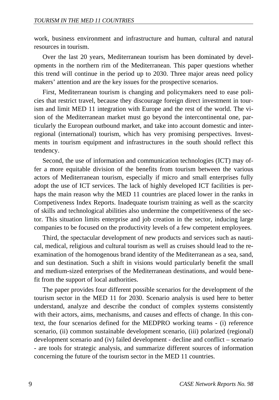work, business environment and infrastructure and human, cultural and natural resources in tourism.

Over the last 20 years, Mediterranean tourism has been dominated by developments in the northern rim of the Mediterranean. This paper questions whether this trend will continue in the period up to 2030. Three major areas need policy makers' attention and are the key issues for the prospective scenarios.

First, Mediterranean tourism is changing and policymakers need to ease policies that restrict travel, because they discourage foreign direct investment in tourism and limit MED 11 integration with Europe and the rest of the world. The vision of the Mediterranean market must go beyond the intercontinental one, particularly the European outbound market, and take into account domestic and interregional (international) tourism, which has very promising perspectives. Investments in tourism equipment and infrastructures in the south should reflect this tendency.

Second, the use of information and communication technologies (ICT) may offer a more equitable division of the benefits from tourism between the various actors of Mediterranean tourism, especially if micro and small enterprises fully adopt the use of ICT services. The lack of highly developed ICT facilities is perhaps the main reason why the MED 11 countries are placed lower in the ranks in Competiveness Index Reports. Inadequate tourism training as well as the scarcity of skills and technological abilities also undermine the competitiveness of the sector. This situation limits enterprise and job creation in the sector, inducing large companies to be focused on the productivity levels of a few competent employees.

Third, the spectacular development of new products and services such as nautical, medical, religious and cultural tourism as well as cruises should lead to the reexamination of the homogenous brand identity of the Mediterranean as a sea, sand, and sun destination. Such a shift in visions would particularly benefit the small and medium-sized enterprises of the Mediterranean destinations, and would benefit from the support of local authorities.

The paper provides four different possible scenarios for the development of the tourism sector in the MED 11 for 2030. Scenario analysis is used here to better understand, analyze and describe the conduct of complex systems consistently with their actors, aims, mechanisms, and causes and effects of change. In this context, the four scenarios defined for the MEDPRO working teams - (i) reference scenario, (ii) common sustainable development scenario, (iii) polarized (regional) development scenario and (iv) failed development - decline and conflict – scenario - are tools for strategic analysis, and summarize different sources of information concerning the future of the tourism sector in the MED 11 countries.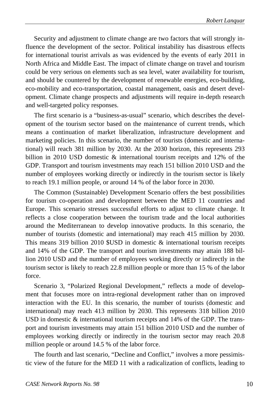Security and adjustment to climate change are two factors that will strongly influence the development of the sector. Political instability has disastrous effects for international tourist arrivals as was evidenced by the events of early 2011 in North Africa and Middle East. The impact of climate change on travel and tourism could be very serious on elements such as sea level, water availability for tourism, and should be countered by the development of renewable energies, eco-building, eco-mobility and eco-transportation, coastal management, oasis and desert development. Climate change prospects and adjustments will require in-depth research and well-targeted policy responses.

The first scenario is a "business-as-usual" scenario, which describes the development of the tourism sector based on the maintenance of current trends, which means a continuation of market liberalization, infrastructure development and marketing policies. In this scenario, the number of tourists (domestic and international) will reach 381 million by 2030. At the 2030 horizon, this represents 293 billion in 2010 USD domestic & international tourism receipts and 12% of the GDP. Transport and tourism investments may reach 151 billion 2010 USD and the number of employees working directly or indirectly in the tourism sector is likely to reach 19.1 million people, or around 14 % of the labor force in 2030.

The Common (Sustainable) Development Scenario offers the best possibilities for tourism co-operation and development between the MED 11 countries and Europe. This scenario stresses successful efforts to adjust to climate change. It reflects a close cooperation between the tourism trade and the local authorities around the Mediterranean to develop innovative products. In this scenario, the number of tourists (domestic and international) may reach 415 million by 2030. This means 319 billion 2010 \$USD in domestic & international tourism receipts and 14% of the GDP. The transport and tourism investments may attain 188 billion 2010 USD and the number of employees working directly or indirectly in the tourism sector is likely to reach 22.8 million people or more than 15 % of the labor force.

Scenario 3, "Polarized Regional Development," reflects a mode of development that focuses more on intra-regional development rather than on improved interaction with the EU. In this scenario, the number of tourists (domestic and international) may reach 413 million by 2030. This represents 318 billion 2010 USD in domestic & international tourism receipts and 14% of the GDP. The transport and tourism investments may attain 151 billion 2010 USD and the number of employees working directly or indirectly in the tourism sector may reach 20.8 million people or around 14.5 % of the labor force.

The fourth and last scenario, "Decline and Conflict," involves a more pessimistic view of the future for the MED 11 with a radicalization of conflicts, leading to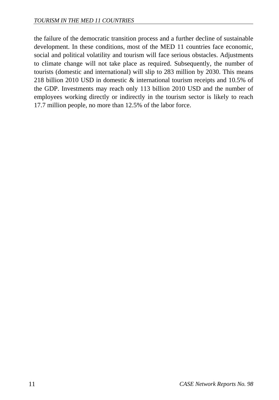the failure of the democratic transition process and a further decline of sustainable development. In these conditions, most of the MED 11 countries face economic, social and political volatility and tourism will face serious obstacles. Adjustments to climate change will not take place as required. Subsequently, the number of tourists (domestic and international) will slip to 283 million by 2030. This means 218 billion 2010 USD in domestic & international tourism receipts and 10.5% of the GDP. Investments may reach only 113 billion 2010 USD and the number of employees working directly or indirectly in the tourism sector is likely to reach 17.7 million people, no more than 12.5% of the labor force.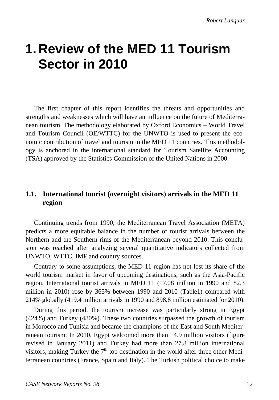# **1. Review of the MED 11 Tourism Sector in 2010**

The first chapter of this report identifies the threats and opportunities and strengths and weaknesses which will have an influence on the future of Mediterranean tourism. The methodology elaborated by Oxford Economics – World Travel and Tourism Council (OE/WTTC) for the UNWTO is used to present the economic contribution of travel and tourism in the MED 11 countries. This methodology is anchored in the international standard for Tourism Satellite Accounting (TSA) approved by the Statistics Commission of the United Nations in 2000.

# **1.1. International tourist (overnight visitors) arrivals in the MED 11 region**

Continuing trends from 1990, the Mediterranean Travel Association (META) predicts a more equitable balance in the number of tourist arrivals between the Northern and the Southern rims of the Mediterranean beyond 2010. This conclusion was reached after analyzing several quantitative indicators collected from UNWTO, WTTC, IMF and country sources.

Contrary to some assumptions, the MED 11 region has not lost its share of the world tourism market in favor of upcoming destinations, such as the Asia-Pacific region. International tourist arrivals in MED 11 (17.08 million in 1990 and 82.3 million in 2010) rose by 365% between 1990 and 2010 (Table1) compared with 214% globally (419.4 million arrivals in 1990 and 898.8 million estimated for 2010).

During this period, the tourism increase was particularly strong in Egypt (424%) and Turkey (480%). These two countries surpassed the growth of tourism in Morocco and Tunisia and became the champions of the East and South Mediterranean tourism. In 2010, Egypt welcomed more than 14.9 million visitors (figure revised in January 2011) and Turkey had more than 27.8 million international visitors, making Turkey the  $7<sup>th</sup>$  top destination in the world after three other Mediterranean countries (France, Spain and Italy). The Turkish political choice to make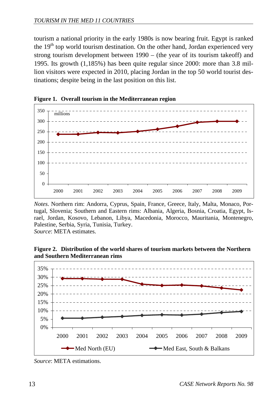tourism a national priority in the early 1980s is now bearing fruit. Egypt is ranked the  $19<sup>th</sup>$  top world tourism destination. On the other hand, Jordan experienced very strong tourism development between 1990 – (the year of its tourism takeoff) and 1995. Its growth (1,185%) has been quite regular since 2000: more than 3.8 million visitors were expected in 2010, placing Jordan in the top 50 world tourist destinations; despite being in the last position on this list.





*Notes*. Northern rim: Andorra, Cyprus, Spain, France, Greece, Italy, Malta, Monaco, Portugal, Slovenia; Southern and Eastern rims: Albania, Algeria, Bosnia, Croatia, Egypt, Israel, Jordan, Kosovo, Lebanon, Libya, Macedonia, Morocco, Mauritania, Montenegro, Palestine, Serbia, Syria, Tunisia, Turkey. *Source*: META estimates.

**Figure 2. Distribution of the world shares of tourism markets between the Northern and Southern Mediterranean rims** 



*Source*: META estimations.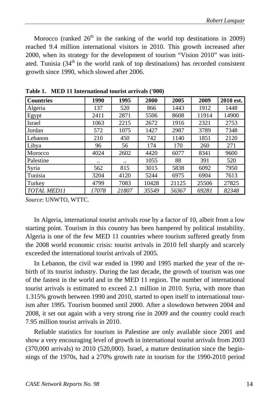Morocco (ranked  $26<sup>th</sup>$  in the ranking of the world top destinations in 2009) reached 9.4 million international visitors in 2010. This growth increased after 2000, when its strategy for the development of tourism "Vision 2010" was initiated. Tunisia  $(34<sup>th</sup>$  in the world rank of top destinations) has recorded consistent growth since 1990, which slowed after 2006.

| <b>Countries</b>   | 1990  | 1995  | 2000  | 2005  | 2009  | 2010 est. |
|--------------------|-------|-------|-------|-------|-------|-----------|
| Algeria            | 137   | 520   | 866   | 1443  | 1912  | 1448      |
| Egypt              | 2411  | 2871  | 5506  | 8608  | 11914 | 14900     |
| Israel             | 1063  | 2215  | 2672  | 1916  | 2321  | 2753      |
| Jordan             | 572   | 1075  | 1427  | 2987  | 3789  | 7348      |
| Lebanon            | 210   | 450   | 742   | 1140  | 1851  | 2120      |
| Libya              | 96    | 56    | 174   | 170   | 260   | 271       |
| Morocco            | 4024  | 2602  | 4420  | 6077  | 8341  | 9600      |
| Palestine          |       |       | 1055  | 88    | 391   | 520       |
| Syria              | 562   | 815   | 3015  | 5838  | 6092  | 7950      |
| Tunisia            | 3204  | 4120  | 5244  | 6975  | 6904  | 7613      |
| Turkey             | 4799  | 7083  | 10428 | 21125 | 25506 | 27825     |
| <b>TOTAL MED11</b> | 17078 | 21807 | 35549 | 56367 | 69281 | 82348     |

**Table 1. MED 11 International tourist arrivals ('000)** 

*Source*: UNWTO, WTTC.

In Algeria, international tourist arrivals rose by a factor of 10, albeit from a low starting point. Tourism in this country has been hampered by political instability. Algeria is one of the few MED 11 countries where tourism suffered greatly from the 2008 world economic crisis: tourist arrivals in 2010 fell sharply and scarcely exceeded the international tourist arrivals of 2005.

In Lebanon, the civil war ended in 1990 and 1995 marked the year of the rebirth of its tourist industry. During the last decade, the growth of tourism was one of the fastest in the world and in the MED 11 region. The number of international tourist arrivals is estimated to exceed 2.1 million in 2010. Syria, with more than 1.315% growth between 1990 and 2010, started to open itself to international tourism after 1995. Tourism boomed until 2000. After a slowdown between 2004 and 2008, it set out again with a very strong rise in 2009 and the country could reach 7.95 million tourist arrivals in 2010.

Reliable statistics for tourism in Palestine are only available since 2001 and show a very encouraging level of growth in international tourist arrivals from 2003 (370,000 arrivals) to 2010 (520,000). Israel, a mature destination since the beginnings of the 1970s, had a 270% growth rate in tourism for the 1990-2010 period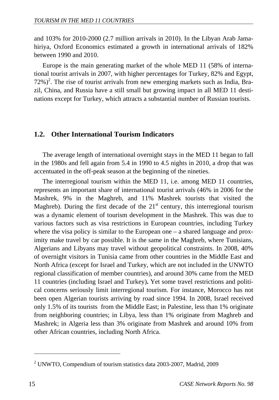and 103% for 2010-2000 (2.7 million arrivals in 2010). In the Libyan Arab Jamahiriya, Oxford Economics estimated a growth in international arrivals of 182% between 1990 and 2010.

Europe is the main generating market of the whole MED 11 (58% of international tourist arrivals in 2007, with higher percentages for Turkey, 82% and Egypt,  $(72%)^2$ . The rise of tourist arrivals from new emerging markets such as India, Brazil, China, and Russia have a still small but growing impact in all MED 11 destinations except for Turkey, which attracts a substantial number of Russian tourists.

# **1.2. Other International Tourism Indicators**

The average length of international overnight stays in the MED 11 began to fall in the 1980s and fell again from 5.4 in 1990 to 4.5 nights in 2010, a drop that was accentuated in the off-peak season at the beginning of the nineties.

The interregional tourism within the MED 11, i.e. among MED 11 countries, represents an important share of international tourist arrivals (46% in 2006 for the Mashrek, 9% in the Maghreb, and 11% Mashrek tourists that visited the Maghreb). During the first decade of the  $21<sup>st</sup>$  century, this interregional tourism was a dynamic element of tourism development in the Mashrek. This was due to various factors such as visa restrictions in European countries, including Turkey where the visa policy is similar to the European one – a shared language and proximity make travel by car possible. It is the same in the Maghreb, where Tunisians, Algerians and Libyans may travel without geopolitical constraints. In 2008, 40% of overnight visitors in Tunisia came from other countries in the Middle East and North Africa (except for Israel and Turkey, which are not included in the UNWTO regional classification of member countries), and around 30% came from the MED 11 countries (including Israel and Turkey)**.** Yet some travel restrictions and political concerns seriously limit interregional tourism. For instance, Morocco has not been open Algerian tourists arriving by road since 1994. In 2008, Israel received only 1.5% of its tourists from the Middle East; in Palestine, less than 1% originate from neighboring countries; in Libya, less than 1% originate from Maghreb and Mashrek; in Algeria less than 3% originate from Mashrek and around 10% from other African countries, including North Africa.

<sup>&</sup>lt;sup>2</sup> UNWTO, Compendium of tourism statistics data 2003-2007, Madrid, 2009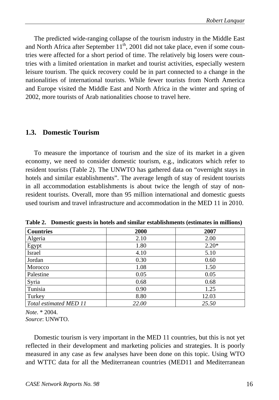The predicted wide-ranging collapse of the tourism industry in the Middle East and North Africa after September  $11^{th}$ , 2001 did not take place, even if some countries were affected for a short period of time. The relatively big losers were countries with a limited orientation in market and tourist activities, especially western leisure tourism. The quick recovery could be in part connected to a change in the nationalities of international tourists. While fewer tourists from North America and Europe visited the Middle East and North Africa in the winter and spring of 2002, more tourists of Arab nationalities choose to travel here.

### **1.3. Domestic Tourism**

To measure the importance of tourism and the size of its market in a given economy, we need to consider domestic tourism, e.g., indicators which refer to resident tourists (Table 2). The UNWTO has gathered data on "overnight stays in hotels and similar establishments". The average length of stay of resident tourists in all accommodation establishments is about twice the length of stay of nonresident tourists. Overall, more than 95 million international and domestic guests used tourism and travel infrastructure and accommodation in the MED 11 in 2010.

| <b>Countries</b>       | 2000  | 2007    |
|------------------------|-------|---------|
| Algeria                | 2.10  | 2.00    |
| Egypt                  | 1.80  | $2.20*$ |
| Israel                 | 4.10  | 5.10    |
| Jordan                 | 0.30  | 0.60    |
| Morocco                | 1.08  | 1.50    |
| Palestine              | 0.05  | 0.05    |
| Syria                  | 0.68  | 0.68    |
| Tunisia                | 0.90  | 1.25    |
| Turkey                 | 8.80  | 12.03   |
| Total estimated MED 11 | 22.00 | 25.50   |

**Table 2. Domestic guests in hotels and similar establishments (estimates in millions)** 

*Note*. \* 2004. *Source*: UNWTO.

Domestic tourism is very important in the MED 11 countries, but this is not yet reflected in their development and marketing policies and strategies. It is poorly measured in any case as few analyses have been done on this topic. Using WTO and WTTC data for all the Mediterranean countries (MED11 and Mediterranean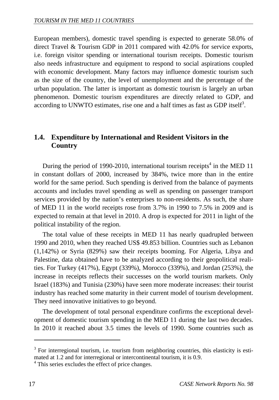European members), domestic travel spending is expected to generate 58.0% of direct Travel & Tourism GDP in 2011 compared with 42.0% for service exports, i.e. foreign visitor spending or international tourism receipts. Domestic tourism also needs infrastructure and equipment to respond to social aspirations coupled with economic development. Many factors may influence domestic tourism such as the size of the country, the level of unemployment and the percentage of the urban population. The latter is important as domestic tourism is largely an urban phenomenon. Domestic tourism expenditures are directly related to GDP, and according to UNWTO estimates, rise one and a half times as fast as GDP itself<sup>3</sup>.

# **1.4. Expenditure by International and Resident Visitors in the Country**

During the period of 1990-2010, international tourism receipts<sup>4</sup> in the MED 11 in constant dollars of 2000, increased by 384%, twice more than in the entire world for the same period. Such spending is derived from the balance of payments accounts and includes travel spending as well as spending on passenger transport services provided by the nation's enterprises to non-residents. As such, the share of MED 11 in the world receipts rose from 3.7% in 1990 to 7.5% in 2009 and is expected to remain at that level in 2010. A drop is expected for 2011 in light of the political instability of the region.

The total value of these receipts in MED 11 has nearly quadrupled between 1990 and 2010, when they reached US\$ 49.853 billion. Countries such as Lebanon (1,142%) or Syria (829%) saw their receipts booming. For Algeria, Libya and Palestine, data obtained have to be analyzed according to their geopolitical realities. For Turkey (417%), Egypt (339%), Morocco (339%), and Jordan (253%), the increase in receipts reflects their successes on the world tourism markets. Only Israel (183%) and Tunisia (230%) have seen more moderate increases: their tourist industry has reached some maturity in their current model of tourism development. They need innovative initiatives to go beyond.

The development of total personal expenditure confirms the exceptional development of domestic tourism spending in the MED 11 during the last two decades. In 2010 it reached about 3.5 times the levels of 1990. Some countries such as

 $3$  For interregional tourism, i.e. tourism from neighboring countries, this elasticity is estimated at 1.2 and for interregional or intercontinental tourism, it is 0.9. 4

<sup>&</sup>lt;sup>4</sup> This series excludes the effect of price changes.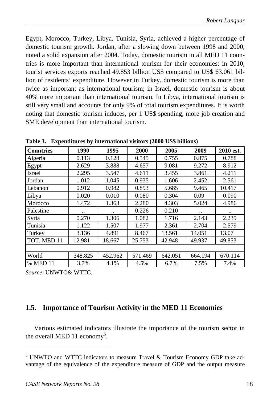Egypt, Morocco, Turkey, Libya, Tunisia, Syria, achieved a higher percentage of domestic tourism growth. Jordan, after a slowing down between 1998 and 2000, noted a solid expansion after 2004. Today, domestic tourism in all MED 11 countries is more important than international tourism for their economies: in 2010, tourist services exports reached 49.853 billion US\$ compared to US\$ 63.061 billion of residents' expenditure. However in Turkey, domestic tourism is more than twice as important as international tourism; in Israel, domestic tourism is about 40% more important than international tourism. In Libya, international tourism is still very small and accounts for only 9% of total tourism expenditures. It is worth noting that domestic tourism induces, per 1 US\$ spending, more job creation and SME development than international tourism.

| <b>Countries</b> | 1990    | 1995    | 2000    | 2005    | 2009    | 2010 est. |
|------------------|---------|---------|---------|---------|---------|-----------|
| Algeria          | 0.113   | 0.128   | 0.545   | 0.755   | 0.875   | 0.788     |
| Egypt            | 2.629   | 3.888   | 4.657   | 9.081   | 9.272   | 8.912     |
| Israel           | 2.295   | 3.547   | 4.611   | 3.455   | 3.861   | 4.211     |
| Jordan           | 1.012   | 1.045   | 0.935   | 1.606   | 2.452   | 2.561     |
| Lebanon          | 0.912   | 0.982   | 0.893   | 5.685   | 9.465   | 10.417    |
| Libya            | 0.020   | 0.010   | 0.080   | 0.304   | 0.09    | 0.090     |
| Morocco          | 1.472   | 1.363   | 2.280   | 4.303   | 5.024   | 4.986     |
| Palestine        |         |         | 0.226   | 0.210   |         |           |
| Syria            | 0.270   | 1.306   | 1.082   | 1.716   | 2.143   | 2.239     |
| Tunisia          | 1.122   | 1.507   | 1.977   | 2.361   | 2.704   | 2.579     |
| Turkey           | 3.136   | 4.891   | 8.467   | 13.561  | 14.051  | 13.07     |
| TOT. MED 11      | 12.981  | 18.667  | 25.753  | 42.948  | 49.937  | 49.853    |
|                  |         |         |         |         |         |           |
| World            | 348.825 | 452.962 | 571.469 | 642.051 | 664.194 | 670.114   |
| % MED 11         | 3.7%    | 4.1%    | 4.5%    | 6.7%    | 7.5%    | 7.4%      |

**Table 3. Expenditures by international visitors (2000 US\$ billions)** 

*Source*: UNWTO& WTTC.

# **1.5. Importance of Tourism Activity in the MED 11 Economies**

Various estimated indicators illustrate the importance of the tourism sector in the overall MED 11 economy<sup>5</sup>.

<sup>&</sup>lt;sup>5</sup> UNWTO and WTTC indicators to measure Travel & Tourism Economy GDP take advantage of the equivalence of the expenditure measure of GDP and the output measure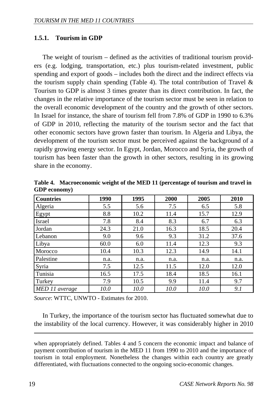### **1.5.1. Tourism in GDP**

The weight of tourism – defined as the activities of traditional tourism providers (e.g. lodging, transportation, etc.) plus tourism-related investment, public spending and export of goods – includes both the direct and the indirect effects via the tourism supply chain spending (Table 4). The total contribution of Travel & Tourism to GDP is almost 3 times greater than its direct contribution. In fact, the changes in the relative importance of the tourism sector must be seen in relation to the overall economic development of the country and the growth of other sectors. In Israel for instance, the share of tourism fell from 7.8% of GDP in 1990 to 6.3% of GDP in 2010, reflecting the maturity of the tourism sector and the fact that other economic sectors have grown faster than tourism. In Algeria and Libya, the development of the tourism sector must be perceived against the background of a rapidly growing energy sector. In Egypt, Jordan, Morocco and Syria, the growth of tourism has been faster than the growth in other sectors, resulting in its growing share in the economy.

| <b>Countries</b> | 1990 | 1995 | 2000 | 2005 | 2010 |
|------------------|------|------|------|------|------|
| Algeria          | 5.5  | 5.6  | 7.5  | 6.5  | 5.8  |
| Egypt            | 8.8  | 10.2 | 11.4 | 15.7 | 12.9 |
| Israel           | 7.8  | 8.4  | 8.3  | 6.7  | 6.3  |
| Jordan           | 24.3 | 21.0 | 16.3 | 18.5 | 20.4 |
| Lebanon          | 9.0  | 9.6  | 9.3  | 31.2 | 37.6 |
| Libya            | 60.0 | 6.0  | 11.4 | 12.3 | 9.3  |
| Morocco          | 10.4 | 10.3 | 12.3 | 14.9 | 14.1 |
| Palestine        | n.a. | n.a. | n.a. | n.a. | n.a. |
| Syria            | 7.5  | 12.5 | 11.5 | 12.0 | 12.0 |
| Tunisia          | 16.5 | 17.5 | 18.4 | 18.5 | 16.1 |
| Turkey           | 7.9  | 10.5 | 9.9  | 11.4 | 9.7  |
| MED 11 average   | 10.0 | 10.0 | 10.0 | 10.0 | 9.1  |

**Table 4. Macroeconomic weight of the MED 11 (percentage of tourism and travel in GDP economy)** 

*Source*: WTTC, UNWTO - Estimates for 2010.

In Turkey, the importance of the tourism sector has fluctuated somewhat due to the instability of the local currency. However, it was considerably higher in 2010

when appropriately defined. Tables 4 and 5 concern the economic impact and balance of payment contribution of tourism in the MED 11 from 1990 to 2010 and the importance of tourism in total employment. Nonetheless the changes within each country are greatly differentiated, with fluctuations connected to the ongoing socio-economic changes.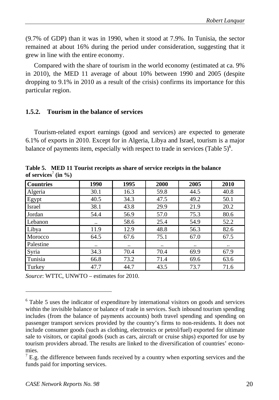(9.7% of GDP) than it was in 1990, when it stood at 7.9%. In Tunisia, the sector remained at about 16% during the period under consideration, suggesting that it grew in line with the entire economy.

Compared with the share of tourism in the world economy (estimated at ca. 9% in 2010), the MED 11 average of about 10% between 1990 and 2005 (despite dropping to 9.1% in 2010 as a result of the crisis) confirms its importance for this particular region.

#### **1.5.2. Tourism in the balance of services**

Tourism-related export earnings (good and services) are expected to generate 6.1% of exports in 2010. Except for in Algeria, Libya and Israel, tourism is a major balance of payments item, especially with respect to trade in services (Table  $5)^6$ .

| <b>Countries</b> | 1990      | 1995      | 2000      | 2005      | 2010      |
|------------------|-----------|-----------|-----------|-----------|-----------|
| Algeria          | 30.1      | 16.3      | 59.8      | 44.5      | 40.8      |
| Egypt            | 40.5      | 34.3      | 47.5      | 49.2      | 50.1      |
| Israel           | 38.1      | 43.8      | 29.9      | 21.9      | 20.2      |
| Jordan           | 54.4      | 56.9      | 57.0      | 75.3      | 80.6      |
| Lebanon          | $\ddotsc$ | 58.6      | 25.4      | 54.9      | 52.2      |
| Libya            | 11.9      | 12.9      | 48.8      | 56.3      | 82.6      |
| Morocco          | 64.5      | 67.6      | 75.1      | 67.0      | 67.5      |
| Palestine        | $\ddotsc$ | $\ddotsc$ | $\ddotsc$ | $\ddotsc$ | $\ddotsc$ |
| Syria            | 34.3      | 70.4      | 70.4      | 69.9      | 67.9      |
| Tunisia          | 66.8      | 73.2      | 71.4      | 69.6      | 63.6      |
| Turkey           | 47.7      | 44.7      | 43.5      | 73.7      | 71.6      |

**Table 5. MED 11 Tourist receipts as share of service receipts in the balance of services**<sup>7</sup>  **(in %)** 

*Source*: WTTC, UNWTO – estimates for 2010.

<sup>&</sup>lt;sup>6</sup> Table 5 uses the indicator of expenditure by international visitors on goods and services within the invisible balance or balance of trade in services. Such inbound tourism spending includes (from the balance of payments accounts) both travel spending and spending on passenger transport services provided by the country's firms to non-residents. It does not include consumer goods (such as clothing, electronics or petrol/fuel) exported for ultimate sale to visitors, or capital goods (such as cars, aircraft or cruise ships) exported for use by tourism providers abroad. The results are linked to the diversification of countries' economies.

 $<sup>7</sup>$  E.g. the difference between funds received by a country when exporting services and the</sup> funds paid for importing services.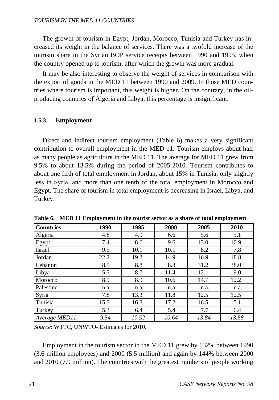The growth of tourism in Egypt, Jordan, Morocco, Tunisia and Turkey has increased its weight in the balance of services. There was a twofold increase of the tourism share in the Syrian BOP service receipts between 1990 and 1995, when the country opened up to tourism, after which the growth was more gradual.

It may be also interesting to observe the weight of services in comparison with the export of goods in the MED 11 between 1990 and 2009. In those MED countries where tourism is important, this weight is higher. On the contrary, in the oilproducing countries of Algeria and Libya, this percentage is insignificant.

#### **1.5.3. Employment**

Direct and indirect tourism employment (Table 6) makes a very significant contribution to overall employment in the MED 11. Tourism employs about half as many people as agriculture in the MED 11. The average for MED 11 grew from 9.5% to about 13.5% during the period of 2005-2010. Tourism contributes to about one fifth of total employment in Jordan, about 15% in Tunisia, only slightly less in Syria, and more than one tenth of the total employment in Morocco and Egypt. The share of tourism in total employment is decreasing in Israel, Libya, and Turkey.

| <b>Countries</b> | 1990 | 1995  | 2000  | 2005  | 2010  |
|------------------|------|-------|-------|-------|-------|
| Algeria          | 4.8  | 4.9   | 6.6   | 5.6   | 5.1   |
| Egypt            | 7.4  | 8.6   | 9.6   | 13.0  | 10.9  |
| Israel           | 9.5  | 10.1  | 10.1  | 8.2   | 7.8   |
| Jordan           | 22.2 | 19.2  | 14.9  | 16.9  | 18.8  |
| Lebanon          | 8.5  | 8.8   | 8.8   | 31.2  | 38.0  |
| Libya            | 5.7  | 8.7   | 11.4  | 12.1  | 9.0   |
| Morocco          | 8.9  | 8.9   | 10.6  | 14.7  | 12.2  |
| Palestine        | n.a. | n.a.  | n.a.  | n.a.  | n.a.  |
| Syria            | 7.8  | 13.3  | 11.8  | 12.5  | 12.5  |
| Tunisia          | 15.3 | 16.3  | 17.2  | 16.5  | 15.1  |
| Turkey           | 5.3  | 6.4   | 5.4   | 7.7   | 6.4   |
| Average MED11    | 9.54 | 10.52 | 10.64 | 13.84 | 13.58 |

**Table 6. MED 11 Employment in the tourist sector as a share of total employment** 

*Source*: WTTC, UNWTO- Estimates for 2010.

Employment in the tourism sector in the MED 11 grew by 152% between 1990 (3.6 million employees) and 2000 (5.5 million) and again by 144% between 2000 and 2010 (7.9 million). The countries with the greatest numbers of people working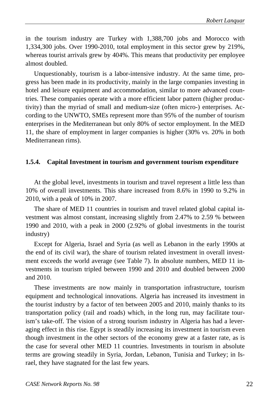in the tourism industry are Turkey with 1,388,700 jobs and Morocco with 1,334,300 jobs. Over 1990-2010, total employment in this sector grew by 219%, whereas tourist arrivals grew by 404%. This means that productivity per employee almost doubled.

Unquestionably, tourism is a labor-intensive industry. At the same time, progress has been made in its productivity, mainly in the large companies investing in hotel and leisure equipment and accommodation, similar to more advanced countries. These companies operate with a more efficient labor pattern (higher productivity) than the myriad of small and medium-size (often micro-) enterprises. According to the UNWTO, SMEs represent more than 95% of the number of tourism enterprises in the Mediterranean but only 80% of sector employment. In the MED 11, the share of employment in larger companies is higher (30% vs. 20% in both Mediterranean rims).

#### **1.5.4. Capital Investment in tourism and government tourism expenditure**

At the global level, investments in tourism and travel represent a little less than 10% of overall investments. This share increased from 8.6% in 1990 to 9.2% in 2010, with a peak of 10% in 2007.

The share of MED 11 countries in tourism and travel related global capital investment was almost constant, increasing slightly from 2.47% to 2.59 % between 1990 and 2010, with a peak in 2000 (2.92% of global investments in the tourist industry)

Except for Algeria, Israel and Syria (as well as Lebanon in the early 1990s at the end of its civil war), the share of tourism related investment in overall investment exceeds the world average (see Table 7). In absolute numbers, MED 11 investments in tourism tripled between 1990 and 2010 and doubled between 2000 and 2010.

These investments are now mainly in transportation infrastructure, tourism equipment and technological innovations. Algeria has increased its investment in the tourist industry by a factor of ten between 2005 and 2010, mainly thanks to its transportation policy (rail and roads) which, in the long run, may facilitate tourism's take-off. The vision of a strong tourism industry in Algeria has had a leveraging effect in this rise. Egypt is steadily increasing its investment in tourism even though investment in the other sectors of the economy grew at a faster rate, as is the case for several other MED 11 countries. Investments in tourism in absolute terms are growing steadily in Syria, Jordan, Lebanon, Tunisia and Turkey; in Israel, they have stagnated for the last few years.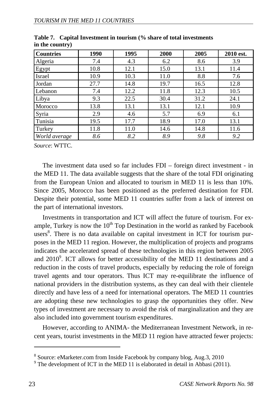| <b>Countries</b> | 1990 | 1995 | 2000 | 2005 | 2010 est. |
|------------------|------|------|------|------|-----------|
| Algeria          | 7.4  | 4.3  | 6.2  | 8.6  | 3.9       |
| Egypt            | 10.8 | 12.1 | 15.0 | 13.1 | 11.4      |
| Israel           | 10.9 | 10.3 | 11.0 | 8.8  | 7.6       |
| Jordan           | 27.7 | 14.8 | 19.7 | 16.5 | 12.8      |
| Lebanon          | 7.4  | 12.2 | 11.8 | 12.3 | 10.5      |
| Libya            | 9.3  | 22.5 | 30.4 | 31.2 | 24.1      |
| Morocco          | 13.8 | 13.1 | 13.1 | 12.1 | 10.9      |
| Syria            | 2.9  | 4.6  | 5.7  | 6.9  | 6.1       |
| Tunisia          | 19.5 | 17.7 | 18.9 | 17.0 | 13.1      |
| Turkey           | 11.8 | 11.0 | 14.6 | 14.8 | 11.6      |
| World average    | 8.6  | 8.2  | 8.9  | 9.8  | 9.2       |

**Table 7. Capital Investment in tourism (% share of total investments in the country)**

*Source*: WTTC.

The investment data used so far includes FDI – foreign direct investment - in the MED 11. The data available suggests that the share of the total FDI originating from the European Union and allocated to tourism in MED 11 is less than 10%. Since 2005, Morocco has been positioned as the preferred destination for FDI. Despite their potential, some MED 11 countries suffer from a lack of interest on the part of international investors.

Investments in transportation and ICT will affect the future of tourism. For example, Turkey is now the  $10<sup>th</sup>$  Top Destination in the world as ranked by Facebook users $\delta$ . There is no data available on capital investment in ICT for tourism purposes in the MED 11 region. However, the multiplication of projects and programs indicates the accelerated spread of these technologies in this region between 2005 and  $2010^9$ . ICT allows for better accessibility of the MED 11 destinations and a reduction in the costs of travel products, especially by reducing the role of foreign travel agents and tour operators. Thus ICT may re-equilibrate the influence of national providers in the distribution systems, as they can deal with their clientele directly and have less of a need for international operators. The MED 11 countries are adopting these new technologies to grasp the opportunities they offer. New types of investment are necessary to avoid the risk of marginalization and they are also included into government tourism expenditures.

However, according to ANIMA- the Mediterranean Investment Network, in recent years, tourist investments in the MED 11 region have attracted fewer projects:

<sup>&</sup>lt;sup>8</sup> Source: eMarketer.com from Inside Facebook by company blog, Aug.3, 2010

<sup>&</sup>lt;sup>9</sup> The development of ICT in the MED 11 is elaborated in detail in Abbasi (2011).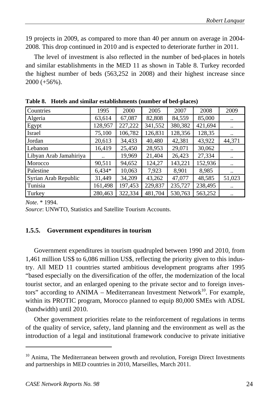19 projects in 2009, as compared to more than 40 per annum on average in 2004- 2008. This drop continued in 2010 and is expected to deteriorate further in 2011.

The level of investment is also reflected in the number of bed-places in hotels and similar establishments in the MED 11 as shown in Table 8. Turkey recorded the highest number of beds (563,252 in 2008) and their highest increase since  $2000 (+56\%).$ 

| Countries              | 1995                 | 2000    | 2005    | 2007    | 2008    | 2009             |
|------------------------|----------------------|---------|---------|---------|---------|------------------|
| Algeria                | 63,614               | 67,087  | 82,808  | 84,559  | 85,000  | $\ddotsc$        |
| Egypt                  | 128,957              | 227,222 | 341,552 | 380,382 | 421,694 | $\ddotsc$        |
| Israel                 | 75,100               | 106,782 | 126,831 | 128,356 | 128,35  | $\ddotsc$        |
| Jordan                 | 20,613               | 34,433  | 40,480  | 42,381  | 43,922  | 44,371           |
| Lebanon                | 16,419               | 25,450  | 28,953  | 29,071  | 30,062  | $\ddotsc$        |
| Libyan Arab Jamahiriya | $\ddot{\phantom{0}}$ | 19,969  | 21,404  | 26,423  | 27,334  | $\ddotsc$        |
| Morocco                | 90,511               | 94,652  | 124,27  | 143,221 | 152,936 | $\bullet\bullet$ |
| Palestine              | $6,434*$             | 10,063  | 7,923   | 8,901   | 8,985   | $\ddotsc$        |
| Syrian Arab Republic   | 31,449               | 34,209  | 43,262  | 47,077  | 48,585  | 51,023           |
| Tunisia                | 161,498              | 197,453 | 229,837 | 235,727 | 238,495 | $\ddotsc$        |
| Turkey                 | 280,463              | 322,334 | 481,704 | 530,763 | 563,252 | $\bullet\bullet$ |

**Table 8. Hotels and similar establishments (number of bed-places)** 

*Note*. \* 1994.

*Source*: UNWTO, Statistics and Satellite Tourism Accounts.

#### **1.5.5. Government expenditures in tourism**

Government expenditures in tourism quadrupled between 1990 and 2010, from 1,461 million US\$ to 6,086 million US\$, reflecting the priority given to this industry. All MED 11 countries started ambitious development programs after 1995 "based especially on the diversification of the offer, the modernization of the local tourist sector, and an enlarged opening to the private sector and to foreign investors" according to  $ANIMA - Mediteranean Investment Network<sup>10</sup>$ . For example, within its PROTIC program, Morocco planned to equip 80,000 SMEs with ADSL (bandwidth) until 2010.

Other government priorities relate to the reinforcement of regulations in terms of the quality of service, safety, land planning and the environment as well as the introduction of a legal and institutional framework conducive to private initiative

 $10$  Anima, The Mediterranean between growth and revolution, Foreign Direct Investments and partnerships in MED countries in 2010, Marseilles, March 2011.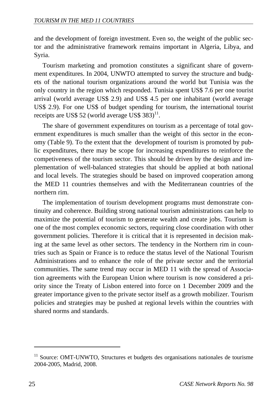and the development of foreign investment. Even so, the weight of the public sector and the administrative framework remains important in Algeria, Libya, and Syria.

Tourism marketing and promotion constitutes a significant share of government expenditures. In 2004, UNWTO attempted to survey the structure and budgets of the national tourism organizations around the world but Tunisia was the only country in the region which responded. Tunisia spent US\$ 7.6 per one tourist arrival (world average US\$ 2.9) and US\$ 4.5 per one inhabitant (world average US\$ 2.9). For one US\$ of budget spending for tourism, the international tourist receipts are US\$ 52 (world average US\$  $383$ )<sup>11</sup>.

The share of government expenditures on tourism as a percentage of total government expenditures is much smaller than the weight of this sector in the economy (Table 9). To the extent that the development of tourism is promoted by public expenditures, there may be scope for increasing expenditures to reinforce the competiveness of the tourism sector. This should be driven by the design and implementation of well-balanced strategies that should be applied at both national and local levels. The strategies should be based on improved cooperation among the MED 11 countries themselves and with the Mediterranean countries of the northern rim.

The implementation of tourism development programs must demonstrate continuity and coherence. Building strong national tourism administrations can help to maximize the potential of tourism to generate wealth and create jobs. Tourism is one of the most complex economic sectors, requiring close coordination with other government policies. Therefore it is critical that it is represented in decision making at the same level as other sectors. The tendency in the Northern rim in countries such as Spain or France is to reduce the status level of the National Tourism Administrations and to enhance the role of the private sector and the territorial communities. The same trend may occur in MED 11 with the spread of Association agreements with the European Union where tourism is now considered a priority since the Treaty of Lisbon entered into force on 1 December 2009 and the greater importance given to the private sector itself as a growth mobilizer. Tourism policies and strategies may be pushed at regional levels within the countries with shared norms and standards.

<sup>&</sup>lt;sup>11</sup> Source: OMT-UNWTO, Structures et budgets des organisations nationales de tourisme 2004-2005, Madrid, 2008.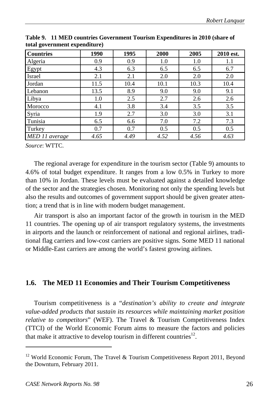| <b>Countries</b> | 1990 | 1995 | 2000 | 2005 | 2010 est. |
|------------------|------|------|------|------|-----------|
| Algeria          | 0.9  | 0.9  | 1.0  | 1.0  | 1.1       |
| Egypt            | 4.3  | 6.3  | 6.5  | 6.5  | 6.7       |
| Israel           | 2.1  | 2.1  | 2.0  | 2.0  | 2.0       |
| Jordan           | 11.5 | 10.4 | 10.1 | 10.3 | 10.4      |
| Lebanon          | 13.5 | 8.9  | 9.0  | 9.0  | 9.1       |
| Libya            | 1.0  | 2.5  | 2.7  | 2.6  | 2.6       |
| Morocco          | 4.1  | 3.8  | 3.4  | 3.5  | 3.5       |
| Syria            | 1.9  | 2.7  | 3.0  | 3.0  | 3.1       |
| Tunisia          | 6.5  | 6.6  | 7.0  | 7.2  | 7.3       |
| Turkey           | 0.7  | 0.7  | 0.5  | 0.5  | 0.5       |
| MED 11 average   | 4.65 | 4.49 | 4.52 | 4.56 | 4.63      |

**Table 9. 11 MED countries Government Tourism Expenditures in 2010 (share of total government expenditure)**

*Source*: WTTC.

The regional average for expenditure in the tourism sector (Table 9) amounts to 4.6% of total budget expenditure. It ranges from a low 0.5% in Turkey to more than 10% in Jordan. These levels must be evaluated against a detailed knowledge of the sector and the strategies chosen. Monitoring not only the spending levels but also the results and outcomes of government support should be given greater attention; a trend that is in line with modern budget management.

Air transport is also an important factor of the growth in tourism in the MED 11 countries. The opening up of air transport regulatory systems, the investments in airports and the launch or reinforcement of national and regional airlines, traditional flag carriers and low-cost carriers are positive signs. Some MED 11 national or Middle-East carriers are among the world's fastest growing airlines.

# **1.6. The MED 11 Economies and Their Tourism Competitiveness**

Tourism competitiveness is a "*destination's ability to create and integrate value-added products that sustain its resources while maintaining market position relative to competitors*" (WEF). The Travel & Tourism Competitiveness Index (TTCI) of the World Economic Forum aims to measure the factors and policies that make it attractive to develop tourism in different countries $^{12}$ .

<sup>&</sup>lt;sup>12</sup> World Economic Forum, The Travel & Tourism Competitiveness Report 2011, Beyond the Downturn, February 2011.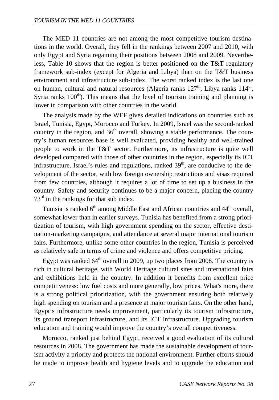The MED 11 countries are not among the most competitive tourism destinations in the world. Overall, they fell in the rankings between 2007 and 2010, with only Egypt and Syria regaining their positions between 2008 and 2009. Nevertheless, Table 10 shows that the region is better positioned on the T&T regulatory framework sub-index (except for Algeria and Libya) than on the T&T business environment and infrastructure sub-index. The worst ranked index is the last one on human, cultural and natural resources (Algeria ranks  $127<sup>th</sup>$ , Libya ranks  $114<sup>th</sup>$ , Syria ranks  $100<sup>th</sup>$ ). This means that the level of tourism training and planning is lower in comparison with other countries in the world.

The analysis made by the WEF gives detailed indications on countries such as Israel, Tunisia, Egypt, Morocco and Turkey. In 2009, Israel was the second-ranked country in the region, and  $36<sup>th</sup>$  overall, showing a stable performance. The country's human resources base is well evaluated, providing healthy and well-trained people to work in the T&T sector. Furthermore, its infrastructure is quite well developed compared with those of other countries in the region, especially its ICT infrastructure. Israel's rules and regulations, ranked  $39<sup>th</sup>$ , are conducive to the development of the sector, with low foreign ownership restrictions and visas required from few countries, although it requires a lot of time to set up a business in the country. Safety and security continues to be a major concern, placing the country  $73<sup>rd</sup>$  in the rankings for that sub index.

Tunisia is ranked  $6<sup>th</sup>$  among Middle East and African countries and  $44<sup>th</sup>$  overall, somewhat lower than in earlier surveys. Tunisia has benefited from a strong prioritization of tourism, with high government spending on the sector, effective destination-marketing campaigns, and attendance at several major international tourism fairs. Furthermore, unlike some other countries in the region, Tunisia is perceived as relatively safe in terms of crime and violence and offers competitive pricing.

Egypt was ranked  $64<sup>th</sup>$  overall in 2009, up two places from 2008. The country is rich in cultural heritage, with World Heritage cultural sites and international fairs and exhibitions held in the country. In addition it benefits from excellent price competitiveness: low fuel costs and more generally, low prices. What's more, there is a strong political prioritization, with the government ensuring both relatively high spending on tourism and a presence at major tourism fairs. On the other hand, Egypt's infrastructure needs improvement, particularly its tourism infrastructure, its ground transport infrastructure, and its ICT infrastructure. Upgrading tourism education and training would improve the country's overall competitiveness.

Morocco, ranked just behind Egypt, received a good evaluation of its cultural resources in 2008. The government has made the sustainable development of tourism activity a priority and protects the national environment. Further efforts should be made to improve health and hygiene levels and to upgrade the education and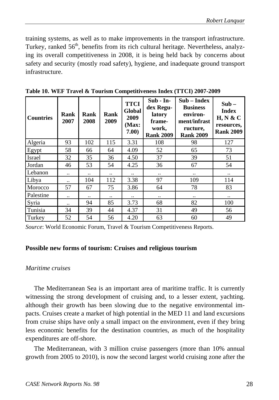training systems, as well as to make improvements in the transport infrastructure. Turkey, ranked  $56<sup>th</sup>$ , benefits from its rich cultural heritage. Nevertheless, analyzing its overall competitiveness in 2008, it is being held back by concerns about safety and security (mostly road safety), hygiene, and inadequate ground transport infrastructure.

| <b>Countries</b> | Rank<br>2007 | Rank<br>2008 | Rank<br>2009 | <b>TTCI</b><br>Global<br>2009<br>(Max:<br>7.00) | Sub - In-<br>dex Regu-<br>latory<br>frame-<br>work,<br><b>Rank 2009</b> | Sub – Index<br><b>Business</b><br>environ-<br>ment/infrast<br>ructure,<br><b>Rank 2009</b> | Sub –<br><b>Index</b><br>H, N & C<br>resources,<br><b>Rank 2009</b> |
|------------------|--------------|--------------|--------------|-------------------------------------------------|-------------------------------------------------------------------------|--------------------------------------------------------------------------------------------|---------------------------------------------------------------------|
| Algeria          | 93           | 102          | 115          | 3.31                                            | 108                                                                     | 98                                                                                         | 127                                                                 |
| Egypt            | 58           | 66           | 64           | 4.09                                            | 52                                                                      | 65                                                                                         | 73                                                                  |
| <b>Israel</b>    | 32           | 35           | 36           | 4.50                                            | 37                                                                      | 39                                                                                         | 51                                                                  |
| Jordan           | 46           | 53           | 54           | 4.25                                            | 36                                                                      | 67                                                                                         | 54                                                                  |
| Lebanon          |              |              | $\ddotsc$    | ٠.                                              | $\ddotsc$                                                               | $\ddotsc$                                                                                  | $\ddotsc$                                                           |
| Libya            |              | 104          | 112          | 3.38                                            | 97                                                                      | 109                                                                                        | 114                                                                 |
| Morocco          | 57           | 67           | 75           | 3.86                                            | 64                                                                      | 78                                                                                         | 83                                                                  |
| Palestine        |              |              | $\ddotsc$    | $\ddotsc$                                       | $\ddotsc$                                                               | $\ddotsc$                                                                                  | $\ddotsc$                                                           |
| Syria            |              | 94           | 85           | 3.73                                            | 68                                                                      | 82                                                                                         | 100                                                                 |
| Tunisia          | 34           | 39           | 44           | 4.37                                            | 31                                                                      | 49                                                                                         | 56                                                                  |
| Turkey           | 52           | 54           | 56           | 4.20                                            | 63                                                                      | 60                                                                                         | 49                                                                  |

**Table 10. WEF Travel & Tourism Competitiveness Index (TTCI) 2007-2009** 

*Source*: World Economic Forum, Travel & Tourism Competitiveness Reports.

#### **Possible new forms of tourism: Cruises and religious tourism**

#### *Maritime cruises*

The Mediterranean Sea is an important area of maritime traffic. It is currently witnessing the strong development of cruising and, to a lesser extent, yachting. although their growth has been slowing due to the negative environmental impacts. Cruises create a market of high potential in the MED 11 and land excursions from cruise ships have only a small impact on the environment, even if they bring less economic benefits for the destination countries, as much of the hospitality expenditures are off-shore.

The Mediterranean, with 3 million cruise passengers (more than 10% annual growth from 2005 to 2010), is now the second largest world cruising zone after the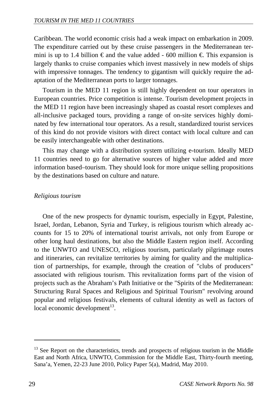Caribbean. The world economic crisis had a weak impact on embarkation in 2009. The expenditure carried out by these cruise passengers in the Mediterranean termini is up to 1.4 billion  $\epsilon$  and the value added - 600 million  $\epsilon$ . This expansion is largely thanks to cruise companies which invest massively in new models of ships with impressive tonnages. The tendency to gigantism will quickly require the adaptation of the Mediterranean ports to larger tonnages.

Tourism in the MED 11 region is still highly dependent on tour operators in European countries. Price competition is intense. Tourism development projects in the MED 11 region have been increasingly shaped as coastal resort complexes and all-inclusive packaged tours, providing a range of on-site services highly dominated by few international tour operators. As a result, standardized tourist services of this kind do not provide visitors with direct contact with local culture and can be easily interchangeable with other destinations.

This may change with a distribution system utilizing e-tourism. Ideally MED 11 countries need to go for alternative sources of higher value added and more information based–tourism. They should look for more unique selling propositions by the destinations based on culture and nature.

#### *Religious tourism*

One of the new prospects for dynamic tourism, especially in Egypt, Palestine, Israel, Jordan, Lebanon, Syria and Turkey, is religious tourism which already accounts for 15 to 20% of international tourist arrivals, not only from Europe or other long haul destinations, but also the Middle Eastern region itself. According to the UNWTO and UNESCO, religious tourism, particularly pilgrimage routes and itineraries, can revitalize territories by aiming for quality and the multiplication of partnerships, for example, through the creation of "clubs of producers" associated with religious tourism. This revitalization forms part of the vision of projects such as the Abraham's Path Initiative or the "Spirits of the Mediterranean: Structuring Rural Spaces and Religious and Spiritual Tourism" revolving around popular and religious festivals, elements of cultural identity as well as factors of local economic development $13$ .

<sup>&</sup>lt;sup>13</sup> See Report on the characteristics, trends and prospects of religious tourism in the Middle East and North Africa, UNWTO, Commission for the Middle East, Thirty-fourth meeting, Sana'a, Yemen, 22-23 June 2010, Policy Paper 5(a), Madrid, May 2010.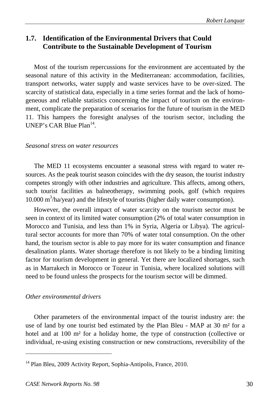# **1.7. Identification of the Environmental Drivers that Could Contribute to the Sustainable Development of Tourism**

Most of the tourism repercussions for the environment are accentuated by the seasonal nature of this activity in the Mediterranean: accommodation, facilities, transport networks, water supply and waste services have to be over-sized. The scarcity of statistical data, especially in a time series format and the lack of homogeneous and reliable statistics concerning the impact of tourism on the environment, complicate the preparation of scenarios for the future of tourism in the MED 11. This hampers the foresight analyses of the tourism sector, including the UNEP's CAR Blue Plan<sup>14</sup>.

#### *Seasonal stress on water resources*

The MED 11 ecosystems encounter a seasonal stress with regard to water resources. As the peak tourist season coincides with the dry season, the tourist industry competes strongly with other industries and agriculture. This affects, among others, such tourist facilities as balneotherapy, swimming pools, golf (which requires 10.000 m3 /ha/year) and the lifestyle of tourists (higher daily water consumption).

However, the overall impact of water scarcity on the tourism sector must be seen in context of its limited water consumption (2% of total water consumption in Morocco and Tunisia, and less than 1% in Syria, Algeria or Libya). The agricultural sector accounts for more than 70% of water total consumption. On the other hand, the tourism sector is able to pay more for its water consumption and finance desalination plants. Water shortage therefore is not likely to be a binding limiting factor for tourism development in general. Yet there are localized shortages, such as in Marrakech in Morocco or Tozeur in Tunisia, where localized solutions will need to be found unless the prospects for the tourism sector will be dimmed.

#### *Other environmental drivers*

Other parameters of the environmental impact of the tourist industry are: the use of land by one tourist bed estimated by the Plan Bleu - MAP at 30 m² for a hotel and at 100 m² for a holiday home, the type of construction (collective or individual, re-using existing construction or new constructions, reversibility of the

<sup>&</sup>lt;sup>14</sup> Plan Bleu, 2009 Activity Report, Sophia-Antipolis, France, 2010.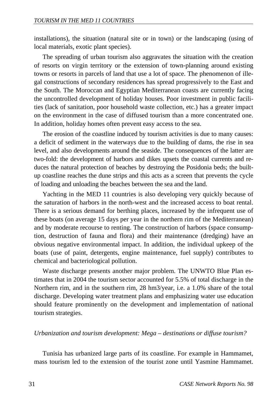installations), the situation (natural site or in town) or the landscaping (using of local materials, exotic plant species).

The spreading of urban tourism also aggravates the situation with the creation of resorts on virgin territory or the extension of town-planning around existing towns or resorts in parcels of land that use a lot of space. The phenomenon of illegal constructions of secondary residences has spread progressively to the East and the South. The Moroccan and Egyptian Mediterranean coasts are currently facing the uncontrolled development of holiday houses. Poor investment in public facilities (lack of sanitation, poor household waste collection, etc.) has a greater impact on the environment in the case of diffused tourism than a more concentrated one. In addition, holiday homes often prevent easy access to the sea.

The erosion of the coastline induced by tourism activities is due to many causes: a deficit of sediment in the waterways due to the building of dams, the rise in sea level, and also developments around the seaside. The consequences of the latter are two-fold: the development of harbors and dikes upsets the coastal currents and reduces the natural protection of beaches by destroying the Posidonia beds; the builtup coastline reaches the dune strips and this acts as a screen that prevents the cycle of loading and unloading the beaches between the sea and the land.

Yachting in the MED 11 countries is also developing very quickly because of the saturation of harbors in the north-west and the increased access to boat rental. There is a serious demand for berthing places, increased by the infrequent use of these boats (on average 15 days per year in the northern rim of the Mediterranean) and by moderate recourse to renting. The construction of harbors (space consumption, destruction of fauna and flora) and their maintenance (dredging) have an obvious negative environmental impact. In addition, the individual upkeep of the boats (use of paint, detergents, engine maintenance, fuel supply) contributes to chemical and bacteriological pollution.

Waste discharge presents another major problem. The UNWTO Blue Plan estimates that in 2004 the tourism sector accounted for 5.5% of total discharge in the Northern rim, and in the southern rim, 28 hm3/year, i.e. a 1.0% share of the total discharge. Developing water treatment plans and emphasizing water use education should feature prominently on the development and implementation of national tourism strategies.

#### *Urbanization and tourism development: Mega – destinations or diffuse tourism?*

Tunisia has urbanized large parts of its coastline. For example in Hammamet, mass tourism led to the extension of the tourist zone until Yasmine Hammamet.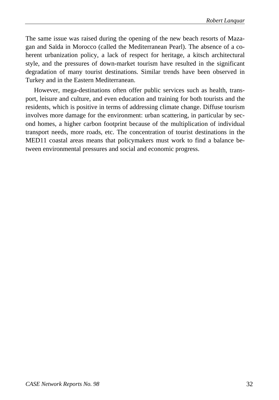The same issue was raised during the opening of the new beach resorts of Mazagan and Saïda in Morocco (called the Mediterranean Pearl). The absence of a coherent urbanization policy, a lack of respect for heritage, a kitsch architectural style, and the pressures of down-market tourism have resulted in the significant degradation of many tourist destinations. Similar trends have been observed in Turkey and in the Eastern Mediterranean.

However, mega-destinations often offer public services such as health, transport, leisure and culture, and even education and training for both tourists and the residents, which is positive in terms of addressing climate change. Diffuse tourism involves more damage for the environment: urban scattering, in particular by second homes, a higher carbon footprint because of the multiplication of individual transport needs, more roads, etc. The concentration of tourist destinations in the MED11 coastal areas means that policymakers must work to find a balance between environmental pressures and social and economic progress.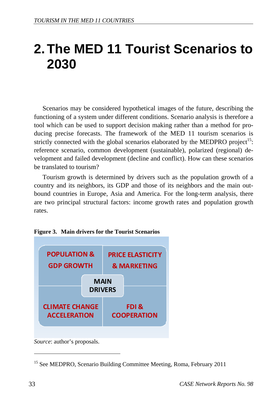# **2. The MED 11 Tourist Scenarios to 2030**

Scenarios may be considered hypothetical images of the future, describing the functioning of a system under different conditions. Scenario analysis is therefore a tool which can be used to support decision making rather than a method for producing precise forecasts. The framework of the MED 11 tourism scenarios is strictly connected with the global scenarios elaborated by the MEDPRO project<sup>15</sup>: reference scenario, common development (sustainable), polarized (regional) development and failed development (decline and conflict). How can these scenarios be translated to tourism?

Tourism growth is determined by drivers such as the population growth of a country and its neighbors, its GDP and those of its neighbors and the main outbound countries in Europe, Asia and America. For the long-term analysis, there are two principal structural factors: income growth rates and population growth rates.





*Source*: author's proposals.

<sup>&</sup>lt;sup>15</sup> See MEDPRO, Scenario Building Committee Meeting, Roma, February 2011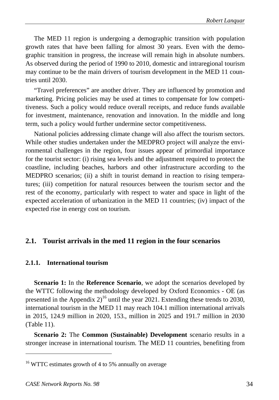The MED 11 region is undergoing a demographic transition with population growth rates that have been falling for almost 30 years. Even with the demographic transition in progress, the increase will remain high in absolute numbers. As observed during the period of 1990 to 2010, domestic and intraregional tourism may continue to be the main drivers of tourism development in the MED 11 countries until 2030.

"Travel preferences" are another driver. They are influenced by promotion and marketing. Pricing policies may be used at times to compensate for low competitiveness. Such a policy would reduce overall receipts, and reduce funds available for investment, maintenance, renovation and innovation. In the middle and long term, such a policy would further undermine sector competitiveness.

National policies addressing climate change will also affect the tourism sectors. While other studies undertaken under the MEDPRO project will analyze the environmental challenges in the region, four issues appear of primordial importance for the tourist sector: (i) rising sea levels and the adjustment required to protect the coastline, including beaches, harbors and other infrastructure according to the MEDPRO scenarios; (ii) a shift in tourist demand in reaction to rising temperatures; (iii) competition for natural resources between the tourism sector and the rest of the economy, particularly with respect to water and space in light of the expected acceleration of urbanization in the MED 11 countries; (iv) impact of the expected rise in energy cost on tourism.

# **2.1. Tourist arrivals in the med 11 region in the four scenarios**

#### **2.1.1. International tourism**

**Scenario 1:** In the **Reference Scenario**, we adopt the scenarios developed by the WTTC following the methodology developed by Oxford Economics - OE (as presented in the Appendix  $2^{16}$  until the year 2021. Extending these trends to 2030, international tourism in the MED 11 may reach 104.1 million international arrivals in 2015, 124.9 million in 2020, 153., million in 2025 and 191.7 million in 2030 (Table 11).

**Scenario 2:** The **Common (Sustainable) Development** scenario results in a stronger increase in international tourism. The MED 11 countries, benefiting from

<sup>&</sup>lt;sup>16</sup> WTTC estimates growth of 4 to 5% annually on average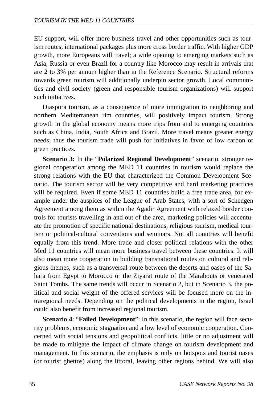EU support, will offer more business travel and other opportunities such as tourism routes, international packages plus more cross border traffic. With higher GDP growth, more Europeans will travel; a wide opening to emerging markets such as Asia, Russia or even Brazil for a country like Morocco may result in arrivals that are 2 to 3% per annum higher than in the Reference Scenario. Structural reforms towards green tourism will additionally underpin sector growth. Local communities and civil society (green and responsible tourism organizations) will support such initiatives.

Diaspora tourism, as a consequence of more immigration to neighboring and northern Mediterranean rim countries, will positively impact tourism. Strong growth in the global economy means more trips from and to emerging countries such as China, India, South Africa and Brazil. More travel means greater energy needs; thus the tourism trade will push for initiatives in favor of low carbon or green practices.

**Scenario 3:** In the "**Polarized Regional Development**" scenario, stronger regional cooperation among the MED 11 countries in tourism would replace the strong relations with the EU that characterized the Common Development Scenario. The tourism sector will be very competitive and hard marketing practices will be required. Even if some MED 11 countries build a free trade area, for example under the auspices of the League of Arab States, with a sort of Schengen Agreement among them as within the Agadir Agreement with relaxed border controls for tourists travelling in and out of the area, marketing policies will accentuate the promotion of specific national destinations, religious tourism, medical tourism or political-cultural conventions and seminars. Not all countries will benefit equally from this trend. More trade and closer political relations with the other Med 11 countries will mean more business travel between these countries. It will also mean more cooperation in building transnational routes on cultural and religious themes, such as a transversal route between the deserts and oases of the Sahara from Egypt to Morocco or the Ziyarat route of the Marabouts or venerated Saint Tombs. The same trends will occur in Scenario 2, but in Scenario 3, the political and social weight of the offered services will be focused more on the intraregional needs. Depending on the political developments in the region, Israel could also benefit from increased regional tourism.

**Scenario 4**: "**Failed Development**": In this scenario, the region will face security problems, economic stagnation and a low level of economic cooperation. Concerned with social tensions and geopolitical conflicts, little or no adjustment will be made to mitigate the impact of climate change on tourism development and management. In this scenario, the emphasis is only on hotspots and tourist oases (or tourist ghettos) along the littoral, leaving other regions behind. We will also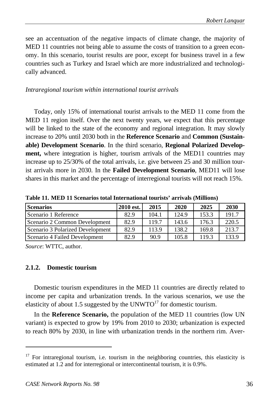see an accentuation of the negative impacts of climate change, the majority of MED 11 countries not being able to assume the costs of transition to a green economy. In this scenario, tourist results are poor, except for business travel in a few countries such as Turkey and Israel which are more industrialized and technologically advanced.

#### *Intraregional tourism within international tourist arrivals*

Today, only 15% of international tourist arrivals to the MED 11 come from the MED 11 region itself. Over the next twenty years, we expect that this percentage will be linked to the state of the economy and regional integration. It may slowly increase to 20% until 2030 both in the **Reference Scenario** and **Common (Sustainable) Development Scenario**. In the third scenario, **Regional Polarized Development,** where integration is higher, tourism arrivals of the MED11 countries may increase up to 25/30% of the total arrivals, i.e. give between 25 and 30 million tourist arrivals more in 2030. In the **Failed Development Scenario**, MED11 will lose shares in this market and the percentage of interregional tourists will not reach 15%.

| THEIR THEIR TE DUCINITION COURT INTERNATION COULD'S GELLY HIS WILLIAM DISP |           |       |       |       |       |
|----------------------------------------------------------------------------|-----------|-------|-------|-------|-------|
| <b>Scenarios</b>                                                           | 2010 est. | 2015  | 2020  | 2025  | 2030  |
| Scenario 1 Reference                                                       | 82.9      | 104.1 | 124.9 | 153.3 | 191.7 |
| Scenario 2 Common Development                                              | 82.9      | 119.7 | 143.6 | 176.3 | 220.5 |

Scenario 3 Polarized Development | 82.9 | 113.9 | 138.2 | 169.8 | 213.7 Scenario 4 Failed Development 1 82.9 1 90.9 1 105.8 1 119.3 1 133.9

**Table 11. MED 11 Scenarios total International tourists' arrivals (Millions)** 

*Source*: WTTC, author.

#### **2.1.2. Domestic tourism**

Domestic tourism expenditures in the MED 11 countries are directly related to income per capita and urbanization trends. In the various scenarios, we use the elasticity of about 1.5 suggested by the UNWTO $17$  for domestic tourism.

In the **Reference Scenario,** the population of the MED 11 countries (low UN variant) is expected to grow by 19% from 2010 to 2030; urbanization is expected to reach 80% by 2030, in line with urbanization trends in the northern rim. Aver-

<sup>&</sup>lt;sup>17</sup> For intraregional tourism, i.e. tourism in the neighboring countries, this elasticity is estimated at 1.2 and for interregional or intercontinental tourism, it is 0.9%.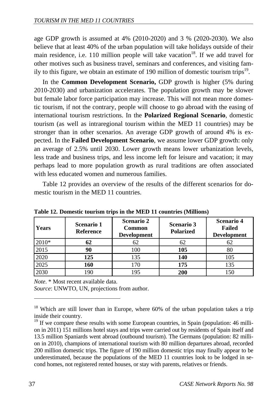age GDP growth is assumed at 4% (2010-2020) and 3 % (2020-2030). We also believe that at least 40% of the urban population will take holidays outside of their main residence, i.e. 110 million people will take vacation<sup>18</sup>. If we add travel for other motives such as business travel, seminars and conferences, and visiting family to this figure, we obtain an estimate of 190 million of domestic tourism trips<sup>19</sup>.

In the **Common Development Scenario,** GDP growth is higher (5% during 2010-2030) and urbanization accelerates. The population growth may be slower but female labor force participation may increase. This will not mean more domestic tourism, if not the contrary, people will choose to go abroad with the easing of international tourism restrictions. In the **Polarized Regional Scenario**, domestic tourism (as well as intraregional tourism within the MED 11 countries) may be stronger than in other scenarios. An average GDP growth of around 4% is expected. In the **Failed Development Scenario**, we assume lower GDP growth: only an average of 2.5% until 2030. Lower growth means lower urbanization levels, less trade and business trips, and less income left for leisure and vacation; it may perhaps lead to more population growth as rural traditions are often associated with less educated women and numerous families.

Table 12 provides an overview of the results of the different scenarios for domestic tourism in the MED 11 countries.

| <b>Years</b> | <b>Scenario 1</b><br><b>Reference</b> | <b>Scenario 2</b><br><b>Common</b><br><b>Development</b> | <b>Scenario 3</b><br><b>Polarized</b> | <b>Scenario 4</b><br>Failed<br><b>Development</b> |
|--------------|---------------------------------------|----------------------------------------------------------|---------------------------------------|---------------------------------------------------|
| 2010*        | 62                                    | 62                                                       | 62                                    | 62                                                |
| 2015         | 90                                    | 100                                                      | 105                                   | 80                                                |
| 2020         | 125                                   | 135                                                      | 140                                   | 105                                               |
| 2025         | 160                                   | 170                                                      | 175                                   | 135                                               |
| 2030         | 190                                   | 195                                                      | 200                                   | 150                                               |

**Table 12. Domestic tourism trips in the MED 11 countries (Millions)** 

*Note*. \* Most recent available data.

*Source*: UNWTO, UN, projections from author.

<sup>&</sup>lt;sup>18</sup> Which are still lower than in Europe, where 60% of the urban population takes a trip inside their country.

<sup>&</sup>lt;sup>19</sup> If we compare these results with some European countries, in Spain (population: 46 million in 2011) 151 millions hotel stays and trips were carried out by residents of Spain itself and 13.5 million Spaniards went abroad (outbound tourism). The Germans (population: 82 million in 2010), champions of international tourism with 80 million departures abroad, recorded 200 million domestic trips. The figure of 190 million domestic trips may finally appear to be underestimated, because the populations of the MED 11 countries look to be lodged in second homes, not registered rented houses, or stay with parents, relatives or friends.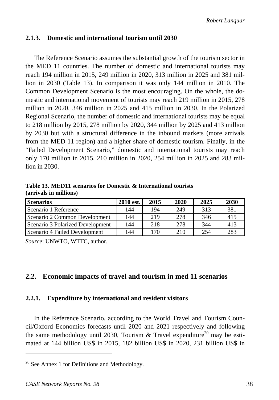# **2.1.3. Domestic and international tourism until 2030**

The Reference Scenario assumes the substantial growth of the tourism sector in the MED 11 countries. The number of domestic and international tourists may reach 194 million in 2015, 249 million in 2020, 313 million in 2025 and 381 million in 2030 (Table 13). In comparison it was only 144 million in 2010. The Common Development Scenario is the most encouraging. On the whole, the domestic and international movement of tourists may reach 219 million in 2015, 278 million in 2020, 346 million in 2025 and 415 million in 2030. In the Polarized Regional Scenario, the number of domestic and international tourists may be equal to 218 million by 2015, 278 million by 2020, 344 million by 2025 and 413 million by 2030 but with a structural difference in the inbound markets (more arrivals from the MED 11 region) and a higher share of domestic tourism. Finally, in the "Failed Development Scenario," domestic and international tourists may reach only 170 million in 2015, 210 million in 2020, 254 million in 2025 and 283 million in 2030.

**Table 13. MED11 scenarios for Domestic & International tourists (arrivals in millions)** 

| <b>Scenarios</b>                 | 2010 est. | 2015 | 2020 | 2025 | 2030 |
|----------------------------------|-----------|------|------|------|------|
| Scenario 1 Reference             | 144       | 194  | 249  | 313  | 381  |
| Scenario 2 Common Development    | 144       | 219  | 278  | 346  | 415  |
| Scenario 3 Polarized Development | 144       | 218  | 278  | 344  | 413  |
| Scenario 4 Failed Development    | 44        | 170  | 210  | 254  | 283  |

*Source*: UNWTO, WTTC, author.

# **2.2. Economic impacts of travel and tourism in med 11 scenarios**

#### **2.2.1. Expenditure by international and resident visitors**

In the Reference Scenario, according to the World Travel and Tourism Council/Oxford Economics forecasts until 2020 and 2021 respectively and following the same methodology until 2030, Tourism & Travel expenditure<sup>20</sup> may be estimated at 144 billion US\$ in 2015, 182 billion US\$ in 2020, 231 billion US\$ in

 $20$  See Annex 1 for Definitions and Methodology.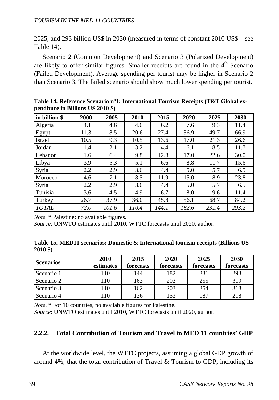2025, and 293 billion US\$ in 2030 (measured in terms of constant 2010 US\$ – see Table 14).

Scenario 2 (Common Development) and Scenario 3 (Polarized Development) are likely to offer similar figures. Smaller receipts are found in the  $4<sup>th</sup>$  Scenario (Failed Development). Average spending per tourist may be higher in Scenario 2 than Scenario 3. The failed scenario should show much lower spending per tourist.

| in billion \$ | 2000 | 2005  | 2010  | 2015  | 2020  | 2025  | 2030  |
|---------------|------|-------|-------|-------|-------|-------|-------|
| Algeria       | 4.1  | 4.6   | 4.6   | 6.2   | 7.6   | 9.3   | 11.4  |
| Egypt         | 11.3 | 18.5  | 20.6  | 27.4  | 36.9  | 49.7  | 66.9  |
| Israel        | 10.5 | 9.3   | 10.5  | 13.6  | 17.0  | 21.3  | 26.6  |
| Jordan        | 1.4  | 2.1   | 3.2   | 4.4   | 6.1   | 8.5   | 11.7  |
| Lebanon       | 1.6  | 6.4   | 9.8   | 12.8  | 17.0  | 22.6  | 30.0  |
| Libya         | 3.9  | 5.3   | 5.1   | 6.6   | 8.8   | 11.7  | 15.6  |
| Syria         | 2.2  | 2.9   | 3.6   | 4.4   | 5.0   | 5.7   | 6.5   |
| Morocco       | 4.6  | 7.1   | 8.5   | 11.9  | 15.0  | 18.9  | 23.8  |
| Syria         | 2.2  | 2.9   | 3.6   | 4.4   | 5.0   | 5.7   | 6.5   |
| Tunisia       | 3.6  | 4.5   | 4.9   | 6.7   | 8.0   | 9.6   | 11.4  |
| Turkey        | 26.7 | 37.9  | 36.0  | 45.8  | 56.1  | 68.7  | 84.2  |
| <b>TOTAL</b>  | 72.0 | 101.6 | 110.4 | 144.1 | 182.6 | 231.4 | 293.2 |

**Table 14. Reference Scenario nº1: International Tourism Receipts (T&T Global expenditure in Billions US 2010 \$)** 

*Note.* \* Palestine: no available figures.

*Source*: UNWTO estimates until 2010, WTTC forecasts until 2020, author.

|                 | Table 15. MED11 scenarios: Domestic & International tourism receipts (Billions US |  |
|-----------------|-----------------------------------------------------------------------------------|--|
| <b>2010</b> \$) |                                                                                   |  |

| <b>Scenarios</b> | 2010      | 2015      | 2020      | 2025      | 2030      |
|------------------|-----------|-----------|-----------|-----------|-----------|
|                  | estimates | forecasts | forecasts | forecasts | forecasts |
| Scenario 1       | 110       | 144       | 182       | 231       | 293       |
| Scenario 2       | 110       | 163       | 203       | 255       | 319       |
| Scenario 3       | 110       | 162       | 203       | 254       | 318       |
| Scenario 4       | 110       | l 26      | 153       | 187       | 218       |

*Note*. \* For 10 countries, no available figures for Palestine.

*Source*: UNWTO estimates until 2010, WTTC forecasts until 2020, author.

#### **2.2.2. Total Contribution of Tourism and Travel to MED 11 countries' GDP**

At the worldwide level, the WTTC projects, assuming a global GDP growth of around 4%, that the total contribution of Travel & Tourism to GDP, including its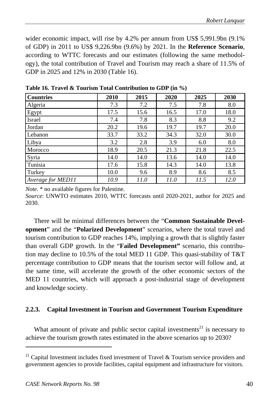wider economic impact, will rise by 4.2% per annum from US\$ 5,991.9bn (9.1% of GDP) in 2011 to US\$ 9,226.9bn (9.6%) by 2021. In the **Reference Scenario**, according to WTTC forecasts and our estimates (following the same methodology), the total contribution of Travel and Tourism may reach a share of 11.5% of GDP in 2025 and 12% in 2030 (Table 16).

| <b>Countries</b>  | 2010 | 2015 | 2020 | 2025 | 2030 |
|-------------------|------|------|------|------|------|
| Algeria           | 7.3  | 7.2  | 7.5  | 7.8  | 8.0  |
| Egypt             | 17.5 | 15.6 | 16.5 | 17.0 | 18.0 |
| Israel            | 7.4  | 7.8  | 8.3  | 8.8  | 9.2  |
| Jordan            | 20.2 | 19.6 | 19.7 | 19.7 | 20.0 |
| Lebanon           | 33.7 | 33.2 | 34.3 | 32.0 | 30.0 |
| Libya             | 3.2  | 2.8  | 3.9  | 6.0  | 8.0  |
| Morocco           | 18.9 | 20.5 | 21.3 | 21.8 | 22.5 |
| Syria             | 14.0 | 14.0 | 13.6 | 14.0 | 14.0 |
| Tunisia           | 17.6 | 15.8 | 14.3 | 14.0 | 13.8 |
| Turkey            | 10.0 | 9.6  | 8.9  | 8.6  | 8.5  |
| Average for MED11 | 10.9 | 11.0 | 11.0 | 11.5 | 12.0 |

**Table 16. Travel & Tourism Total Contribution to GDP (in %)** 

*Note*. \* no available figures for Palestine.

*Source*: UNWTO estimates 2010, WTTC forecasts until 2020-2021, author for 2025 and 2030.

There will be minimal differences between the "**Common Sustainable Development**" and the "**Polarized Development**" scenarios, where the total travel and tourism contribution to GDP reaches 14%, implying a growth that is slightly faster than overall GDP growth. In the "**Failed Development"** scenario, this contribution may decline to 10.5% of the total MED 11 GDP. This quasi-stability of T&T percentage contribution to GDP means that the tourism sector will follow and, at the same time, will accelerate the growth of the other economic sectors of the MED 11 countries, which will approach a post-industrial stage of development and knowledge society.

#### **2.2.3. Capital Investment in Tourism and Government Tourism Expenditure**

What amount of private and public sector capital investments<sup>21</sup> is necessary to achieve the tourism growth rates estimated in the above scenarios up to 2030?

 $21$  Capital Investment includes fixed investment of Travel & Tourism service providers and government agencies to provide facilities, capital equipment and infrastructure for visitors.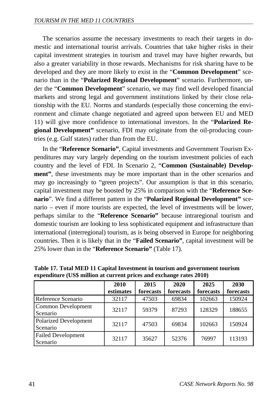The scenarios assume the necessary investments to reach their targets in domestic and international tourist arrivals. Countries that take higher risks in their capital investment strategies in tourism and travel may have higher rewards, but also a greater variability in those rewards. Mechanisms for risk sharing have to be developed and they are more likely to exist in the "**Common Development**" scenario than in the "**Polarized Regional Development**" scenario. Furthermore, under the "**Common Development**" scenario, we may find well developed financial markets and strong legal and government institutions linked by their close relationship with the EU. Norms and standards (especially those concerning the environment and climate change negotiated and agreed upon between EU and MED 11) will give more confidence to international investors. In the "**Polarized Regional Development"** scenario, FDI may originate from the oil-producing countries (e.g. Gulf states) rather than from the EU.

In the "**Reference Scenario"**, Capital investments and Government Tourism Expenditures may vary largely depending on the tourism investment policies of each country and the level of FDI. In Scenario 2, "**Common (Sustainable) Development"**, these investments may be more important than in the other scenarios and may go increasingly to "green projects". Our assumption is that in this scenario, capital investment may be boosted by 25% in comparison with the "**Reference Scenario**". We find a different pattern in the "**Polarized Regional Development"** scenario – even if more tourists are expected, the level of investments will be lower, perhaps similar to the "**Reference Scenario"** because intraregional tourism and domestic tourism are looking to less sophisticated equipment and infrastructure than international (interregional) tourism, as is being observed in Europe for neighboring countries. Then it is likely that in the "**Failed Scenario"**, capital investment will be 25% lower than in the "**Reference Scenario"** (Table 17).

|                                          | 2010      | 2015      | 2020      | 2025      | 2030      |
|------------------------------------------|-----------|-----------|-----------|-----------|-----------|
|                                          | estimates | forecasts | forecasts | forecasts | forecasts |
| Reference Scenario                       | 32117     | 47503     | 69834     | 102663    | 150924    |
| Common Development<br>Scenario           | 32117     | 59379     | 87293     | 128329    | 188655    |
| <b>Polarized Development</b><br>Scenario | 32117     | 47503     | 69834     | 102663    | 150924    |
| <b>Failed Development</b><br>Scenario    | 32117     | 35627     | 52376     | 76997     | 113193    |

**Table 17. Total MED 11 Capital Investment in tourism and government tourism expenditure (US\$ million at current prices and exchange rates 2010)**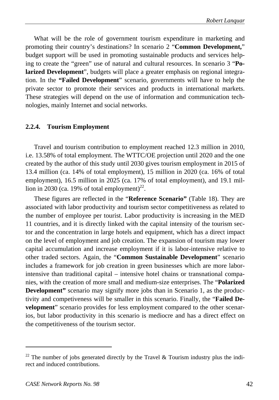What will be the role of government tourism expenditure in marketing and promoting their country's destinations? In scenario 2 "**Common Development,**" budget support will be used in promoting sustainable products and services helping to create the "green" use of natural and cultural resources. In scenario 3 "**Polarized Development**", budgets will place a greater emphasis on regional integration. In the **"Failed Development**" scenario, governments will have to help the private sector to promote their services and products in international markets. These strategies will depend on the use of information and communication technologies, mainly Internet and social networks.

#### **2.2.4. Tourism Employment**

Travel and tourism contribution to employment reached 12.3 million in 2010, i.e. 13.58% of total employment. The WTTC/OE projection until 2020 and the one created by the author of this study until 2030 gives tourism employment in 2015 of 13.4 million (ca. 14% of total employment), 15 million in 2020 (ca. 16% of total employment), 16.5 million in 2025 (ca. 17% of total employment), and 19.1 million in 2030 (ca. 19% of total employment)<sup>22</sup>.

These figures are reflected in the "**Reference Scenario"** (Table 18). They are associated with labor productivity and tourism sector competitiveness as related to the number of employee per tourist. Labor productivity is increasing in the MED 11 countries, and it is directly linked with the capital intensity of the tourism sector and the concentration in large hotels and equipment, which has a direct impact on the level of employment and job creation. The expansion of tourism may lower capital accumulation and increase employment if it is labor-intensive relative to other traded sectors. Again, the "**Common Sustainable Development**" scenario includes a framework for job creation in green businesses which are more laborintensive than traditional capital – intensive hotel chains or transnational companies, with the creation of more small and medium-size enterprises. The "**Polarized Development"** scenario may signify more jobs than in Scenario 1, as the productivity and competiveness will be smaller in this scenario. Finally, the "**Failed Development**" scenario provides for less employment compared to the other scenarios, but labor productivity in this scenario is mediocre and has a direct effect on the competitiveness of the tourism sector.

<sup>&</sup>lt;sup>22</sup> The number of jobs generated directly by the Travel & Tourism industry plus the indirect and induced contributions.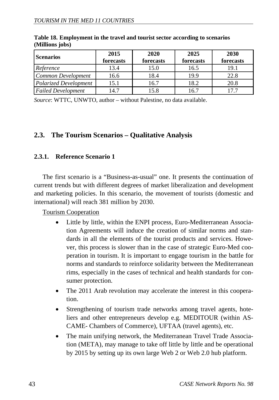| <b>Scenarios</b>          | 2015      | 2020      | 2025      | 2030      |
|---------------------------|-----------|-----------|-----------|-----------|
|                           | forecasts | forecasts | forecasts | forecasts |
| Reference                 | 13.4      | 15.0      | 16.5      | 19.1      |
| Common Development        | 16.6      | 18.4      | 19.9      | 22.8      |
| Polarized Development     | 15.1      | 16.7      | 18.2      | 20.8      |
| <b>Failed Development</b> | 14.7      | 15.8      | 16.       | 17.7      |

**Table 18. Employment in the travel and tourist sector according to scenarios (Millions jobs)** 

*Source*: WTTC, UNWTO, author – without Palestine, no data available.

# **2.3. The Tourism Scenarios – Qualitative Analysis**

#### **2.3.1. Reference Scenario 1**

The first scenario is a "Business-as-usual" one. It presents the continuation of current trends but with different degrees of market liberalization and development and marketing policies. In this scenario, the movement of tourists (domestic and international) will reach 381 million by 2030.

# Tourism Cooperation

- Little by little, within the ENPI process, Euro-Mediterranean Association Agreements will induce the creation of similar norms and standards in all the elements of the tourist products and services. However, this process is slower than in the case of strategic Euro-Med cooperation in tourism. It is important to engage tourism in the battle for norms and standards to reinforce solidarity between the Mediterranean rims, especially in the cases of technical and health standards for consumer protection.
- The 2011 Arab revolution may accelerate the interest in this cooperation.
- Strengthening of tourism trade networks among travel agents, hoteliers and other entrepreneurs develop e.g. MEDITOUR (within AS-CAME- Chambers of Commerce), UFTAA (travel agents), etc.
- The main unifying network, the Mediterranean Travel Trade Association (META), may manage to take off little by little and be operational by 2015 by setting up its own large Web 2 or Web 2.0 hub platform.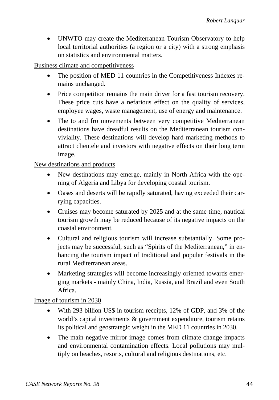• UNWTO may create the Mediterranean Tourism Observatory to help local territorial authorities (a region or a city) with a strong emphasis on statistics and environmental matters.

Business climate and competitiveness

- The position of MED 11 countries in the Competitiveness Indexes remains unchanged.
- Price competition remains the main driver for a fast tourism recovery. These price cuts have a nefarious effect on the quality of services, employee wages, waste management, use of energy and maintenance.
- The to and fro movements between very competitive Mediterranean destinations have dreadful results on the Mediterranean tourism conviviality. These destinations will develop hard marketing methods to attract clientele and investors with negative effects on their long term image.

# New destinations and products

- New destinations may emerge, mainly in North Africa with the opening of Algeria and Libya for developing coastal tourism.
- Oases and deserts will be rapidly saturated, having exceeded their carrying capacities.
- Cruises may become saturated by 2025 and at the same time, nautical tourism growth may be reduced because of its negative impacts on the coastal environment.
- Cultural and religious tourism will increase substantially. Some projects may be successful, such as "Spirits of the Mediterranean," in enhancing the tourism impact of traditional and popular festivals in the rural Mediterranean areas.
- Marketing strategies will become increasingly oriented towards emerging markets - mainly China, India, Russia, and Brazil and even South Africa.

# Image of tourism in 2030

- With 293 billion US\$ in tourism receipts, 12% of GDP, and 3% of the world's capital investments & government expenditure, tourism retains its political and geostrategic weight in the MED 11 countries in 2030.
- The main negative mirror image comes from climate change impacts and environmental contamination effects. Local pollutions may multiply on beaches, resorts, cultural and religious destinations, etc.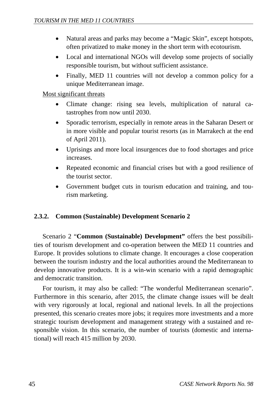- Natural areas and parks may become a "Magic Skin", except hotspots, often privatized to make money in the short term with ecotourism.
- Local and international NGOs will develop some projects of socially responsible tourism, but without sufficient assistance.
- Finally, MED 11 countries will not develop a common policy for a unique Mediterranean image.

### Most significant threats

- Climate change: rising sea levels, multiplication of natural catastrophes from now until 2030.
- Sporadic terrorism, especially in remote areas in the Saharan Desert or in more visible and popular tourist resorts (as in Marrakech at the end of April 2011).
- Uprisings and more local insurgences due to food shortages and price increases.
- Repeated economic and financial crises but with a good resilience of the tourist sector.
- Government budget cuts in tourism education and training, and tourism marketing.

# **2.3.2. Common (Sustainable) Development Scenario 2**

Scenario 2 "**Common (Sustainable) Development"** offers the best possibilities of tourism development and co-operation between the MED 11 countries and Europe. It provides solutions to climate change. It encourages a close cooperation between the tourism industry and the local authorities around the Mediterranean to develop innovative products. It is a win-win scenario with a rapid demographic and democratic transition.

For tourism, it may also be called: "The wonderful Mediterranean scenario". Furthermore in this scenario, after 2015, the climate change issues will be dealt with very rigorously at local, regional and national levels. In all the projections presented, this scenario creates more jobs; it requires more investments and a more strategic tourism development and management strategy with a sustained and responsible vision. In this scenario, the number of tourists (domestic and international) will reach 415 million by 2030.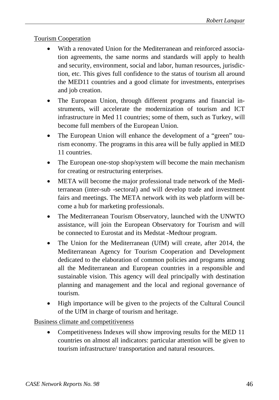# Tourism Cooperation

- With a renovated Union for the Mediterranean and reinforced association agreements, the same norms and standards will apply to health and security, environment, social and labor, human resources, jurisdiction, etc. This gives full confidence to the status of tourism all around the MED11 countries and a good climate for investments, enterprises and job creation.
- The European Union, through different programs and financial instruments, will accelerate the modernization of tourism and ICT infrastructure in Med 11 countries; some of them, such as Turkey, will become full members of the European Union.
- The European Union will enhance the development of a "green" tourism economy. The programs in this area will be fully applied in MED 11 countries.
- The European one-stop shop/system will become the main mechanism for creating or restructuring enterprises.
- META will become the major professional trade network of the Mediterranean (inter-sub -sectoral) and will develop trade and investment fairs and meetings. The META network with its web platform will become a hub for marketing professionals.
- The Mediterranean Tourism Observatory, launched with the UNWTO assistance, will join the European Observatory for Tourism and will be connected to Eurostat and its Medstat -Medtour program.
- The Union for the Mediterranean (UfM) will create, after 2014, the Mediterranean Agency for Tourism Cooperation and Development dedicated to the elaboration of common policies and programs among all the Mediterranean and European countries in a responsible and sustainable vision. This agency will deal principally with destination planning and management and the local and regional governance of tourism.
- High importance will be given to the projects of the Cultural Council of the UfM in charge of tourism and heritage.

Business climate and competitiveness

• Competitiveness Indexes will show improving results for the MED 11 countries on almost all indicators: particular attention will be given to tourism infrastructure/ transportation and natural resources.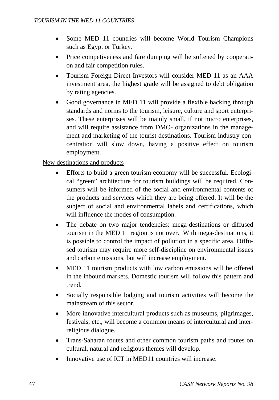- Some MED 11 countries will become World Tourism Champions such as Egypt or Turkey.
- Price competiveness and fare dumping will be softened by cooperation and fair competition rules.
- Tourism Foreign Direct Investors will consider MED 11 as an AAA investment area, the highest grade will be assigned to debt obligation by rating agencies.
- Good governance in MED 11 will provide a flexible backing through standards and norms to the tourism, leisure, culture and sport enterprises. These enterprises will be mainly small, if not micro enterprises, and will require assistance from DMO- organizations in the management and marketing of the tourist destinations. Tourism industry concentration will slow down, having a positive effect on tourism employment.

# New destinations and products

- Efforts to build a green tourism economy will be successful. Ecological "green" architecture for tourism buildings will be required. Consumers will be informed of the social and environmental contents of the products and services which they are being offered. It will be the subject of social and environmental labels and certifications, which will influence the modes of consumption.
- The debate on two major tendencies: mega-destinations or diffused tourism in the MED 11 region is not over. With mega-destinations, it is possible to control the impact of pollution in a specific area. Diffused tourism may require more self-discipline on environmental issues and carbon emissions, but will increase employment.
- MED 11 tourism products with low carbon emissions will be offered in the inbound markets. Domestic tourism will follow this pattern and trend.
- Socially responsible lodging and tourism activities will become the mainstream of this sector.
- More innovative intercultural products such as museums, pilgrimages, festivals, etc., will become a common means of intercultural and interreligious dialogue.
- Trans-Saharan routes and other common tourism paths and routes on cultural, natural and religious themes will develop.
- Innovative use of ICT in MED11 countries will increase.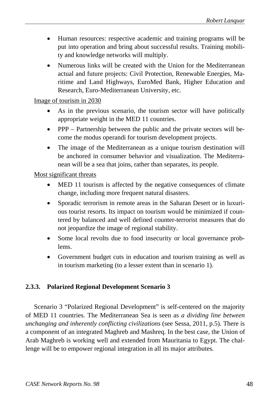- Human resources: respective academic and training programs will be put into operation and bring about successful results. Training mobility and knowledge networks will multiply.
- Numerous links will be created with the Union for the Mediterranean actual and future projects: Civil Protection, Renewable Energies, Maritime and Land Highways, EuroMed Bank, Higher Education and Research, Euro-Mediterranean University*,* etc.

### Image of tourism in 2030

- As in the previous scenario, the tourism sector will have politically appropriate weight in the MED 11 countries.
- PPP Partnership between the public and the private sectors will become the modus operandi for tourism development projects.
- The image of the Mediterranean as a unique tourism destination will be anchored in consumer behavior and visualization. The Mediterranean will be a sea that joins, rather than separates, its people.

# Most significant threats

- MED 11 tourism is affected by the negative consequences of climate change, including more frequent natural disasters.
- Sporadic terrorism in remote areas in the Saharan Desert or in luxurious tourist resorts. Its impact on tourism would be minimized if countered by balanced and well defined counter-terrorist measures that do not jeopardize the image of regional stability.
- Some local revolts due to food insecurity or local governance problems.
- Government budget cuts in education and tourism training as well as in tourism marketing (to a lesser extent than in scenario 1).

# **2.3.3. Polarized Regional Development Scenario 3**

Scenario 3 "Polarized Regional Development" is self-centered on the majority of MED 11 countries. The Mediterranean Sea is seen as *a dividing line between unchanging and inherently conflicting civilizations* (see Sessa, 2011, p.5)*.* There is a component of an integrated Maghreb and Mashreq. In the best case, the Union of Arab Maghreb is working well and extended from Mauritania to Egypt. The challenge will be to empower regional integration in all its major attributes.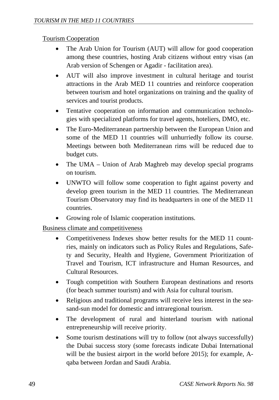# Tourism Cooperation

- The Arab Union for Tourism (AUT) will allow for good cooperation among these countries, hosting Arab citizens without entry visas (an Arab version of Schengen or Agadir - facilitation area).
- AUT will also improve investment in cultural heritage and tourist attractions in the Arab MED 11 countries and reinforce cooperation between tourism and hotel organizations on training and the quality of services and tourist products.
- Tentative cooperation on information and communication technologies with specialized platforms for travel agents, hoteliers, DMO, etc.
- The Euro-Mediterranean partnership between the European Union and some of the MED 11 countries will unhurriedly follow its course. Meetings between both Mediterranean rims will be reduced due to budget cuts.
- The UMA Union of Arab Maghreb may develop special programs on tourism.
- UNWTO will follow some cooperation to fight against poverty and develop green tourism in the MED 11 countries. The Mediterranean Tourism Observatory may find its headquarters in one of the MED 11 countries.
- Growing role of Islamic cooperation institutions.

# Business climate and competitiveness

- Competitiveness Indexes show better results for the MED 11 countries, mainly on indicators such as Policy Rules and Regulations, Safety and Security, Health and Hygiene, Government Prioritization of Travel and Tourism, ICT infrastructure and Human Resources, and Cultural Resources.
- Tough competition with Southern European destinations and resorts (for beach summer tourism) and with Asia for cultural tourism.
- Religious and traditional programs will receive less interest in the seasand-sun model for domestic and intraregional tourism.
- The development of rural and hinterland tourism with national entrepreneurship will receive priority.
- Some tourism destinations will try to follow (not always successfully) the Dubai success story (some forecasts indicate Dubai International will be the busiest airport in the world before 2015); for example, Aqaba between Jordan and Saudi Arabia.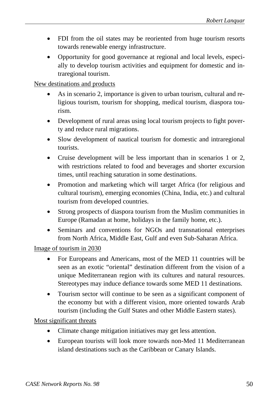- FDI from the oil states may be reoriented from huge tourism resorts towards renewable energy infrastructure.
- Opportunity for good governance at regional and local levels, especially to develop tourism activities and equipment for domestic and intraregional tourism.

## New destinations and products

- As in scenario 2, importance is given to urban tourism, cultural and religious tourism, tourism for shopping, medical tourism, diaspora tourism.
- Development of rural areas using local tourism projects to fight poverty and reduce rural migrations.
- Slow development of nautical tourism for domestic and intraregional tourists.
- Cruise development will be less important than in scenarios 1 or 2, with restrictions related to food and beverages and shorter excursion times, until reaching saturation in some destinations.
- Promotion and marketing which will target Africa (for religious and cultural tourism), emerging economies (China, India, etc.) and cultural tourism from developed countries.
- Strong prospects of diaspora tourism from the Muslim communities in Europe (Ramadan at home, holidays in the family home, etc.).
- Seminars and conventions for NGOs and transnational enterprises from North Africa, Middle East, Gulf and even Sub-Saharan Africa.

# Image of tourism in 2030

- For Europeans and Americans, most of the MED 11 countries will be seen as an exotic "oriental" destination different from the vision of a unique Mediterranean region with its cultures and natural resources. Stereotypes may induce defiance towards some MED 11 destinations.
- Tourism sector will continue to be seen as a significant component of the economy but with a different vision, more oriented towards Arab tourism (including the Gulf States and other Middle Eastern states).

# Most significant threats

- Climate change mitigation initiatives may get less attention.
- European tourists will look more towards non-Med 11 Mediterranean island destinations such as the Caribbean or Canary Islands.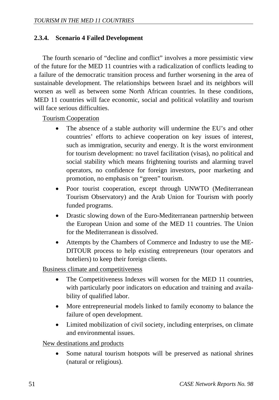### **2.3.4. Scenario 4 Failed Development**

The fourth scenario of "decline and conflict" involves a more pessimistic view of the future for the MED 11 countries with a radicalization of conflicts leading to a failure of the democratic transition process and further worsening in the area of sustainable development. The relationships between Israel and its neighbors will worsen as well as between some North African countries. In these conditions, MED 11 countries will face economic, social and political volatility and tourism will face serious difficulties.

Tourism Cooperation

- The absence of a stable authority will undermine the EU's and other countries' efforts to achieve cooperation on key issues of interest, such as immigration, security and energy. It is the worst environment for tourism development: no travel facilitation (visas), no political and social stability which means frightening tourists and alarming travel operators, no confidence for foreign investors, poor marketing and promotion, no emphasis on "green" tourism.
- Poor tourist cooperation, except through UNWTO (Mediterranean Tourism Observatory) and the Arab Union for Tourism with poorly funded programs.
- Drastic slowing down of the Euro-Mediterranean partnership between the European Union and some of the MED 11 countries. The Union for the Mediterranean is dissolved.
- Attempts by the Chambers of Commerce and Industry to use the ME-DITOUR process to help existing entrepreneurs (tour operators and hoteliers) to keep their foreign clients.

Business climate and competitiveness

- The Competitiveness Indexes will worsen for the MED 11 countries, with particularly poor indicators on education and training and availability of qualified labor.
- More entrepreneurial models linked to family economy to balance the failure of open development.
- Limited mobilization of civil society, including enterprises, on climate and environmental issues.

New destinations and products

• Some natural tourism hotspots will be preserved as national shrines (natural or religious).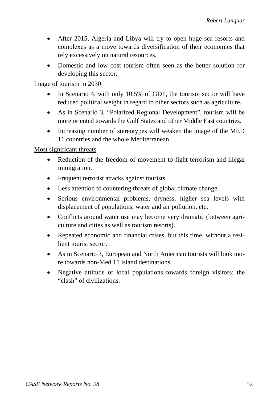- After 2015, Algeria and Libya will try to open huge sea resorts and complexes as a move towards diversification of their economies that rely excessively on natural resources.
- Domestic and low cost tourism often seen as the better solution for developing this sector.

# Image of tourism in 2030

- In Scenario 4, with only 10.5% of GDP, the tourism sector will have reduced political weight in regard to other sectors such as agriculture.
- As in Scenario 3, "Polarized Regional Development", tourism will be more oriented towards the Gulf States and other Middle East countries.
- Increasing number of stereotypes will weaken the image of the MED 11 countries and the whole Mediterranean.

# Most significant threats

- Reduction of the freedom of movement to fight terrorism and illegal immigration.
- Frequent terrorist attacks against tourists.
- Less attention to countering threats of global climate change.
- Serious environmental problems, dryness, higher sea levels with displacement of populations, water and air pollution, etc.
- Conflicts around water use may become very dramatic (between agriculture and cities as well as tourism resorts).
- Repeated economic and financial crises, but this time, without a resilient tourist sector.
- As in Scenario 3, European and North American tourists will look more towards non-Med 11 island destinations.
- Negative attitude of local populations towards foreign visitors: the "clash" of civilizations.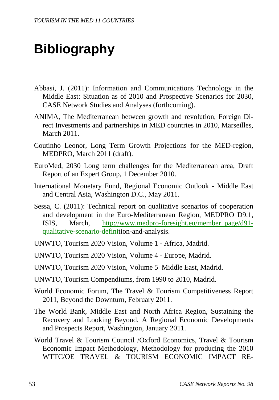# **Bibliography**

- Abbasi, J. (2011): Information and Communications Technology in the Middle East: Situation as of 2010 and Prospective Scenarios for 2030, CASE Network Studies and Analyses (forthcoming).
- ANIMA, The Mediterranean between growth and revolution, Foreign Direct Investments and partnerships in MED countries in 2010, Marseilles, March 2011.
- Coutinho Leonor, Long Term Growth Projections for the MED-region, MEDPRO, March 2011 (draft).
- EuroMed, 2030 Long term challenges for the Mediterranean area, Draft Report of an Expert Group, 1 December 2010.
- International Monetary Fund, Regional Economic Outlook Middle East and Central Asia, Washington D.C., May 2011.
- Sessa, C. (2011): Technical report on qualitative scenarios of cooperation and development in the Euro-Mediterranean Region, MEDPRO D9.1, ISIS, March, http://www.medpro-foresight.eu/member\_page/d91 qualitative-scenario-definition-and-analysis.
- UNWTO, Tourism 2020 Vision, Volume 1 Africa, Madrid.
- UNWTO, Tourism 2020 Vision, Volume 4 Europe, Madrid.
- UNWTO, Tourism 2020 Vision, Volume 5–Middle East, Madrid.
- UNWTO, Tourism Compendiums, from 1990 to 2010, Madrid.
- World Economic Forum, The Travel & Tourism Competitiveness Report 2011, Beyond the Downturn, February 2011.
- The World Bank, Middle East and North Africa Region, Sustaining the Recovery and Looking Beyond, A Regional Economic Developments and Prospects Report, Washington, January 2011.
- World Travel & Tourism Council /Oxford Economics, Travel & Tourism Economic Impact Methodology, Methodology for producing the 2010 WTTC/OE TRAVEL & TOURISM ECONOMIC IMPACT RE-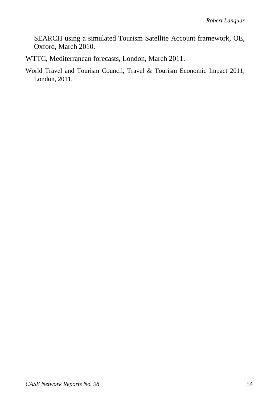SEARCH using a simulated Tourism Satellite Account framework, OE, Oxford, March 2010.

WTTC, Mediterranean forecasts, London, March 2011.

World Travel and Tourism Council, Travel & Tourism Economic Impact 2011, London, 2011.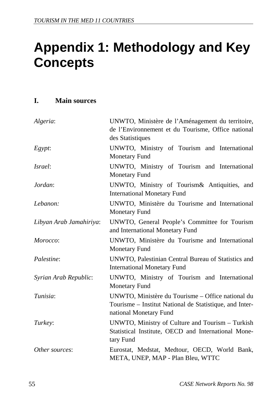# **Appendix 1: Methodology and Key Concepts**

# **I. Main sources**

| Algeria:                | UNWTO, Ministère de l'Aménagement du territoire,<br>de l'Environnement et du Tourisme, Office national<br>des Statistiques             |
|-------------------------|----------------------------------------------------------------------------------------------------------------------------------------|
| Egypt:                  | UNWTO, Ministry of Tourism and International<br><b>Monetary Fund</b>                                                                   |
| <i>Israel:</i>          | UNWTO, Ministry of Tourism and International<br><b>Monetary Fund</b>                                                                   |
| Jordan:                 | UNWTO, Ministry of Tourism& Antiquities, and<br><b>International Monetary Fund</b>                                                     |
| Lebanon:                | UNWTO, Ministère du Tourisme and International<br>Monetary Fund                                                                        |
| Libyan Arab Jamahiriya: | UNWTO, General People's Committee for Tourism<br>and International Monetary Fund                                                       |
| Morocco:                | UNWTO, Ministère du Tourisme and International<br><b>Monetary Fund</b>                                                                 |
| Palestine:              | UNWTO, Palestinian Central Bureau of Statistics and<br><b>International Monetary Fund</b>                                              |
| Syrian Arab Republic:   | UNWTO, Ministry of Tourism and International<br>Monetary Fund                                                                          |
| Tunisia:                | UNWTO, Ministère du Tourisme - Office national du<br>Tourisme – Institut National de Statistique, and Inter-<br>national Monetary Fund |
| Turkey:                 | UNWTO, Ministry of Culture and Tourism – Turkish<br>Statistical Institute, OECD and International Mone-<br>tary Fund                   |
| Other sources:          | Eurostat, Medstat, Medtour, OECD, World Bank,<br>META, UNEP, MAP - Plan Bleu, WTTC                                                     |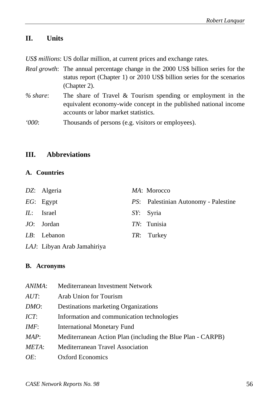# **II. Units**

*US\$ millions*: US dollar million, at current prices and exchange rates.

- *Real growth*: The annual percentage change in the 2000 US\$ billion series for the status report (Chapter 1) or 2010 US\$ billion series for the scenarios (Chapter 2).
- *% share*: The share of Travel & Tourism spending or employment in the equivalent economy-wide concept in the published national income accounts or labor market statistics.
- *'000*: Thousands of persons (e.g. visitors or employees).

# **III. Abbreviations**

#### **A. Countries**

| DZ: Algeria        | MA: Morocco                                  |
|--------------------|----------------------------------------------|
| EG: Egypt          | <i>PS</i> : Palestinian Autonomy - Palestine |
| <i>IL</i> : Israel | SY: Syria                                    |
| JO: Jordan         | TN: Tunisia                                  |
| LB: Lebanon        | TR: Turkey                                   |
|                    |                                              |

*LAJ*: Libyan Arab Jamahiriya

# **B. Acronyms**

| ANIMA:  | Mediterranean Investment Network                            |
|---------|-------------------------------------------------------------|
| $AUT$ : | Arab Union for Tourism                                      |
| DMO:    | Destinations marketing Organizations                        |
| ICT:    | Information and communication technologies                  |
| IMF:    | <b>International Monetary Fund</b>                          |
| MAP:    | Mediterranean Action Plan (including the Blue Plan - CARPB) |
| META:   | Mediterranean Travel Association                            |
| OE:     | Oxford Economics                                            |
|         |                                                             |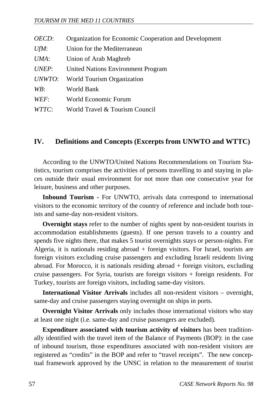| OECD:    | Organization for Economic Cooperation and Development |
|----------|-------------------------------------------------------|
| $UfM$ :  | Union for the Mediterranean                           |
| UMA:     | Union of Arab Maghreb                                 |
| UNEP:    | <b>United Nations Environment Program</b>             |
| UNWTO:   | World Tourism Organization                            |
| $W\!B$ : | World Bank                                            |
| WEF:     | World Economic Forum                                  |
| WTTC:    | World Travel & Tourism Council                        |

# **IV. Definitions and Concepts (Excerpts from UNWTO and WTTC)**

According to the UNWTO/United Nations Recommendations on Tourism Statistics, tourism comprises the activities of persons travelling to and staying in places outside their usual environment for not more than one consecutive year for leisure, business and other purposes.

**Inbound Tourism -** For UNWTO, arrivals data correspond to international visitors to the economic territory of the country of reference and include both tourists and same-day non-resident visitors.

**Overnight stays** refer to the number of nights spent by non-resident tourists in accommodation establishments (guests). If one person travels to a country and spends five nights there, that makes 5 tourist overnights stays or person-nights. For Algeria, it is nationals residing abroad + foreign visitors. For Israel, tourists are foreign visitors excluding cruise passengers and excluding Israeli residents living abroad. For Morocco, it is nationals residing abroad + foreign visitors, excluding cruise passengers. For Syria, tourists are foreign visitors + foreign residents. For Turkey, tourists are foreign visitors, including same-day visitors.

**International Visitor Arrivals** includes all non-resident visitors – overnight, same-day and cruise passengers staying overnight on ships in ports.

**Overnight Visitor Arrivals** only includes those international visitors who stay at least one night (i.e. same-day and cruise passengers are excluded).

**Expenditure associated with tourism activity of visitors** has been traditionally identified with the travel item of the Balance of Payments (BOP): in the case of inbound tourism, those expenditures associated with non-resident visitors are registered as "credits" in the BOP and refer to "travel receipts". The new conceptual framework approved by the UNSC in relation to the measurement of tourist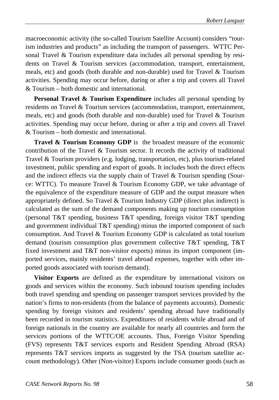macroeconomic activity (the so-called Tourism Satellite Account) considers "tourism industries and products" as including the transport of passengers. WTTC Personal Travel & Tourism expenditure data includes all personal spending by residents on Travel & Tourism services (accommodation, transport, entertainment, meals, etc) and goods (both durable and non-durable) used for Travel & Tourism activities. Spending may occur before, during or after a trip and covers all Travel & Tourism – both domestic and international.

**Personal Travel & Tourism Expenditure** includes all personal spending by residents on Travel & Tourism services (accommodation, transport, entertainment, meals, etc) and goods (both durable and non-durable) used for Travel & Tourism activities. Spending may occur before, during or after a trip and covers all Travel & Tourism – both domestic and international.

**Travel & Tourism Economy GDP** is the broadest measure of the economic contribution of the Travel & Tourism sector. It records the activity of traditional Travel & Tourism providers (e.g. lodging, transportation, etc), plus tourism-related investment, public spending and export of goods. It includes both the direct effects and the indirect effects via the supply chain of Travel & Tourism spending (Source: WTTC). To measure Travel & Tourism Economy GDP, we take advantage of the equivalence of the expenditure measure of GDP and the output measure when appropriately defined. So Travel & Tourism Industry GDP (direct plus indirect) is calculated as the sum of the demand components making up tourism consumption (personal T&T spending, business T&T spending, foreign visitor T&T spending and government individual T&T spending) minus the imported component of such consumption. And Travel & Tourism Economy GDP is calculated as total tourism demand (tourism consumption plus government collective T&T spending, T&T fixed investment and T&T non-visitor exports) minus its import component (imported services, mainly residents' travel abroad expenses, together with other imported goods associated with tourism demand).

**Visitor Exports** are defined as the expenditure by international visitors on goods and services within the economy. Such inbound tourism spending includes both travel spending and spending on passenger transport services provided by the nation's firms to non-residents (from the balance of payments accounts). Domestic spending by foreign visitors and residents' spending abroad have traditionally been recorded in tourism statistics. Expenditures of residents while abroad and of foreign nationals in the country are available for nearly all countries and form the services portions of the WTTC/OE accounts. Thus, Foreign Visitor Spending (FVS) represents T&T services exports and Resident Spending Abroad (RSA) represents T&T services imports as suggested by the TSA (tourism satellite account methodology). Other (Non-visitor) Exports include consumer goods (such as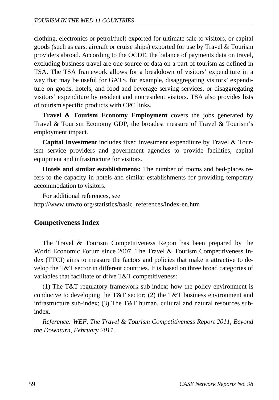clothing, electronics or petrol/fuel) exported for ultimate sale to visitors, or capital goods (such as cars, aircraft or cruise ships) exported for use by Travel & Tourism providers abroad. According to the OCDE, the balance of payments data on travel, excluding business travel are one source of data on a part of tourism as defined in TSA. The TSA framework allows for a breakdown of visitors' expenditure in a way that may be useful for GATS, for example, disaggregating visitors' expenditure on goods, hotels, and food and beverage serving services, or disaggregating visitors' expenditure by resident and nonresident visitors. TSA also provides lists of tourism specific products with CPC links.

**Travel & Tourism Economy Employment** covers the jobs generated by Travel & Tourism Economy GDP, the broadest measure of Travel & Tourism's employment impact.

**Capital Investment** includes fixed investment expenditure by Travel & Tourism service providers and government agencies to provide facilities, capital equipment and infrastructure for visitors.

**Hotels and similar establishments:** The number of rooms and bed-places refers to the capacity in hotels and similar establishments for providing temporary accommodation to visitors.

For additional references, see http://www.unwto.org/statistics/basic\_references/index-en.htm

# **Competiveness Index**

The Travel & Tourism Competitiveness Report has been prepared by the World Economic Forum since 2007. The Travel & Tourism Competitiveness Index (TTCI) aims to measure the factors and policies that make it attractive to develop the T&T sector in different countries. It is based on three broad categories of variables that facilitate or drive T&T competitiveness:

(1) The T&T regulatory framework sub-index: how the policy environment is conducive to developing the T&T sector; (2) the T&T business environment and infrastructure sub-index; (3) The T&T human, cultural and natural resources subindex.

*Reference: WEF, The Travel & Tourism Competitiveness Report 2011, Beyond the Downturn, February 2011.*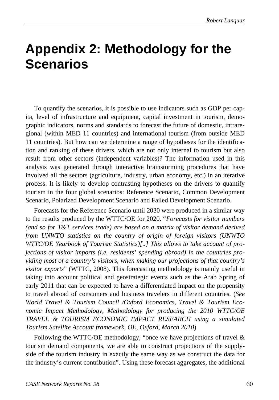# **Appendix 2: Methodology for the Scenarios**

To quantify the scenarios, it is possible to use indicators such as GDP per capita, level of infrastructure and equipment, capital investment in tourism, demographic indicators, norms and standards to forecast the future of domestic, intraregional (within MED 11 countries) and international tourism (from outside MED 11 countries). But how can we determine a range of hypotheses for the identification and ranking of these drivers, which are not only internal to tourism but also result from other sectors (independent variables)? The information used in this analysis was generated through interactive brainstorming procedures that have involved all the sectors (agriculture, industry, urban economy, etc.) in an iterative process. It is likely to develop contrasting hypotheses on the drivers to quantify tourism in the four global scenarios: Reference Scenario, Common Development Scenario, Polarized Development Scenario and Failed Development Scenario.

Forecasts for the Reference Scenario until 2030 were produced in a similar way to the results produced by the WTTC/OE for 2020. "*Forecasts for visitor numbers (and so for T&T services trade) are based on a matrix of visitor demand derived from UNWTO statistics on the country of origin of foreign visitors (UNWTO WTTC/OE Yearbook of Tourism Statistics)[..] This allows to take account of projections of visitor imports (i.e. residents' spending abroad) in the countries providing most of a country's visitors, when making our projections of that country's visitor exports*" (WTTC, 2008). This forecasting methodology is mainly useful in taking into account political and geostrategic events such as the Arab Spring of early 2011 that can be expected to have a differentiated impact on the propensity to travel abroad of consumers and business travelers in different countries. (*See World Travel & Tourism Council /Oxford Economics, Travel & Tourism Economic Impact Methodology, Methodology for producing the 2010 WTTC/OE TRAVEL & TOURISM ECONOMIC IMPACT RESEARCH using a simulated Tourism Satellite Account framework, OE, Oxford, March 2010*)

Following the WTTC/OE methodology, "once we have projections of travel & tourism demand components, we are able to construct projections of the supplyside of the tourism industry in exactly the same way as we construct the data for the industry's current contribution". Using these forecast aggregates, the additional